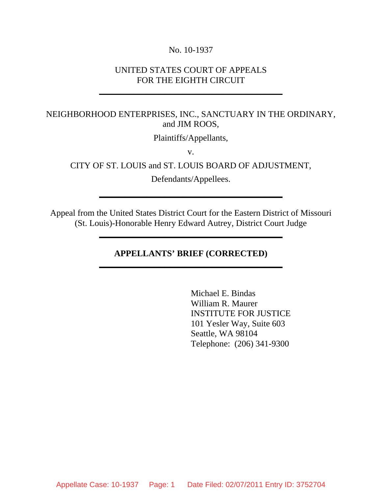#### No. 10-1937

### UNITED STATES COURT OF APPEALS FOR THE EIGHTH CIRCUIT

**\_\_\_\_\_\_\_\_\_\_\_\_\_\_\_\_\_\_\_\_\_\_\_\_\_\_\_\_\_\_\_\_\_\_\_\_\_\_\_\_\_\_**

# NEIGHBORHOOD ENTERPRISES, INC., SANCTUARY IN THE ORDINARY, and JIM ROOS,

Plaintiffs/Appellants,

v.

CITY OF ST. LOUIS and ST. LOUIS BOARD OF ADJUSTMENT,

Defendants/Appellees.

**\_\_\_\_\_\_\_\_\_\_\_\_\_\_\_\_\_\_\_\_\_\_\_\_\_\_\_\_\_\_\_\_\_\_\_\_\_\_\_\_\_\_**

Appeal from the United States District Court for the Eastern District of Missouri (St. Louis)-Honorable Henry Edward Autrey, District Court Judge

**\_\_\_\_\_\_\_\_\_\_\_\_\_\_\_\_\_\_\_\_\_\_\_\_\_\_\_\_\_\_\_\_\_\_\_\_\_\_\_\_\_\_**

## **APPELLANTS' BRIEF (CORRECTED) \_\_\_\_\_\_\_\_\_\_\_\_\_\_\_\_\_\_\_\_\_\_\_\_\_\_\_\_\_\_\_\_\_\_\_\_\_\_\_\_\_\_**

Michael E. Bindas William R. Maurer INSTITUTE FOR JUSTICE 101 Yesler Way, Suite 603 Seattle, WA 98104 Telephone: (206) 341-9300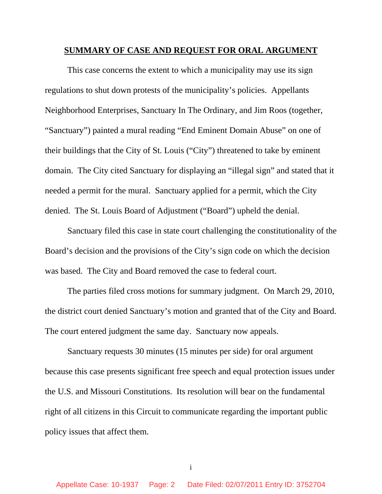#### **SUMMARY OF CASE AND REQUEST FOR ORAL ARGUMENT**

This case concerns the extent to which a municipality may use its sign regulations to shut down protests of the municipality's policies. Appellants Neighborhood Enterprises, Sanctuary In The Ordinary, and Jim Roos (together, "Sanctuary") painted a mural reading "End Eminent Domain Abuse" on one of their buildings that the City of St. Louis ("City") threatened to take by eminent domain. The City cited Sanctuary for displaying an "illegal sign" and stated that it needed a permit for the mural. Sanctuary applied for a permit, which the City denied. The St. Louis Board of Adjustment ("Board") upheld the denial.

Sanctuary filed this case in state court challenging the constitutionality of the Board's decision and the provisions of the City's sign code on which the decision was based. The City and Board removed the case to federal court.

The parties filed cross motions for summary judgment. On March 29, 2010, the district court denied Sanctuary's motion and granted that of the City and Board. The court entered judgment the same day. Sanctuary now appeals.

Sanctuary requests 30 minutes (15 minutes per side) for oral argument because this case presents significant free speech and equal protection issues under the U.S. and Missouri Constitutions. Its resolution will bear on the fundamental right of all citizens in this Circuit to communicate regarding the important public policy issues that affect them.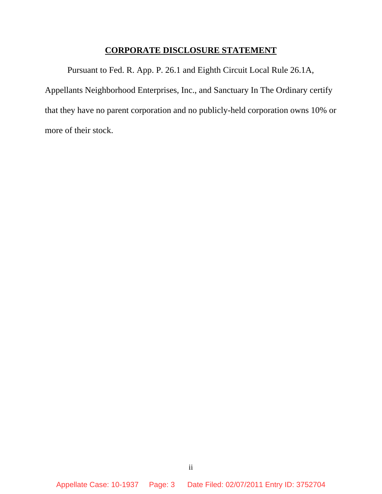# **CORPORATE DISCLOSURE STATEMENT**

Pursuant to Fed. R. App. P. 26.1 and Eighth Circuit Local Rule 26.1A, Appellants Neighborhood Enterprises, Inc., and Sanctuary In The Ordinary certify that they have no parent corporation and no publicly-held corporation owns 10% or more of their stock.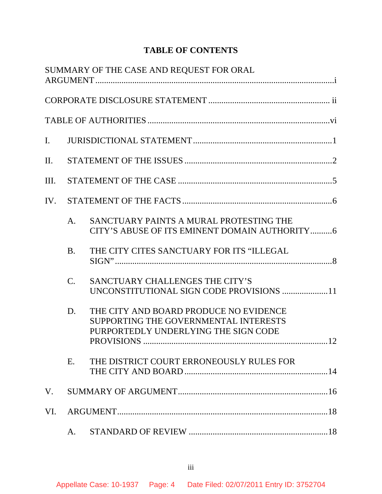# **TABLE OF CONTENTS**

|                |                | SUMMARY OF THE CASE AND REQUEST FOR ORAL                                                                                |  |
|----------------|----------------|-------------------------------------------------------------------------------------------------------------------------|--|
|                |                |                                                                                                                         |  |
|                |                |                                                                                                                         |  |
| $\mathbf{I}$ . |                |                                                                                                                         |  |
| $\Pi$ .        |                |                                                                                                                         |  |
| III.           |                |                                                                                                                         |  |
| IV.            |                |                                                                                                                         |  |
|                | A <sub>1</sub> | SANCTUARY PAINTS A MURAL PROTESTING THE<br>CITY'S ABUSE OF ITS EMINENT DOMAIN AUTHORITY6                                |  |
|                | <b>B.</b>      | THE CITY CITES SANCTUARY FOR ITS "ILLEGAL                                                                               |  |
|                | $C_{\cdot}$    | SANCTUARY CHALLENGES THE CITY'S<br>UNCONSTITUTIONAL SIGN CODE PROVISIONS 11                                             |  |
|                | D.             | THE CITY AND BOARD PRODUCE NO EVIDENCE<br>SUPPORTING THE GOVERNMENTAL INTERESTS<br>PURPORTEDLY UNDERLYING THE SIGN CODE |  |
|                | E.             | THE DISTRICT COURT ERRONEOUSLY RULES FOR                                                                                |  |
| V.             |                |                                                                                                                         |  |
| VI.            |                |                                                                                                                         |  |
|                | A.             |                                                                                                                         |  |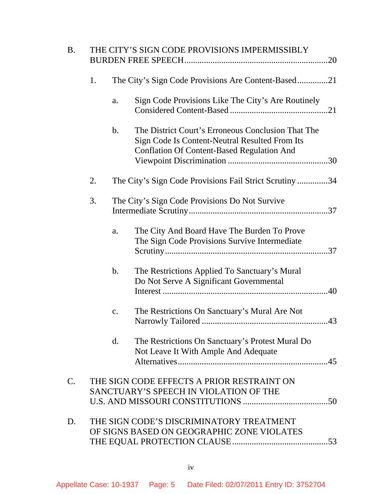| <b>B.</b> |    | THE CITY'S SIGN CODE PROVISIONS IMPERMISSIBLY |                                                                                                                                                           |  |  |
|-----------|----|-----------------------------------------------|-----------------------------------------------------------------------------------------------------------------------------------------------------------|--|--|
|           | 1. |                                               | The City's Sign Code Provisions Are Content-Based21                                                                                                       |  |  |
|           |    | a.                                            | Sign Code Provisions Like The City's Are Routinely                                                                                                        |  |  |
|           |    | $\mathbf{b}$ .                                | The District Court's Erroneous Conclusion That The<br>Sign Code Is Content-Neutral Resulted From Its<br><b>Conflation Of Content-Based Regulation And</b> |  |  |
|           | 2. |                                               | The City's Sign Code Provisions Fail Strict Scrutiny34                                                                                                    |  |  |
|           | 3. |                                               | The City's Sign Code Provisions Do Not Survive                                                                                                            |  |  |
|           |    | a.                                            | The City And Board Have The Burden To Prove<br>The Sign Code Provisions Survive Intermediate                                                              |  |  |
|           |    | $\mathbf b$ .                                 | The Restrictions Applied To Sanctuary's Mural<br>Do Not Serve A Significant Governmental                                                                  |  |  |
|           |    | c.                                            | The Restrictions On Sanctuary's Mural Are Not                                                                                                             |  |  |
|           |    | d.                                            | The Restrictions On Sanctuary's Protest Mural Do<br>Not Leave It With Ample And Adequate                                                                  |  |  |
| $C$ .     |    |                                               | THE SIGN CODE EFFECTS A PRIOR RESTRAINT ON<br>SANCTUARY'S SPEECH IN VIOLATION OF THE                                                                      |  |  |
| D.        |    |                                               | THE SIGN CODE'S DISCRIMINATORY TREATMENT<br>OF SIGNS BASED ON GEOGRAPHIC ZONE VIOLATES                                                                    |  |  |
|           |    |                                               |                                                                                                                                                           |  |  |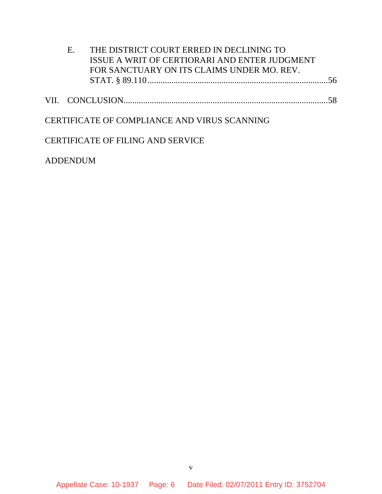| E. | THE DISTRICT COURT ERRED IN DECLINING TO      |  |
|----|-----------------------------------------------|--|
|    | ISSUE A WRIT OF CERTIORARI AND ENTER JUDGMENT |  |
|    | FOR SANCTUARY ON ITS CLAIMS UNDER MO. REV.    |  |
|    |                                               |  |
|    |                                               |  |
|    |                                               |  |
|    |                                               |  |
|    | CERTIFICATE OF COMPLIANCE AND VIRUS SCANNING  |  |
|    |                                               |  |
|    | <b>CERTIFICATE OF FILING AND SERVICE</b>      |  |

ADDENDUM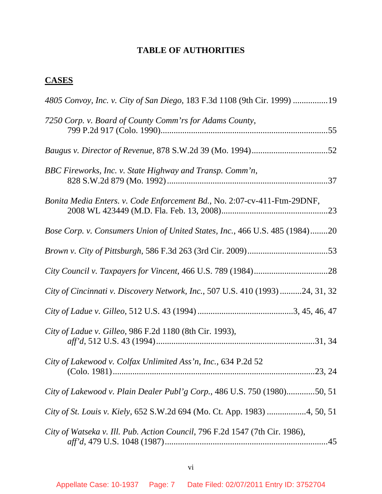# **TABLE OF AUTHORITIES**

# **CASES**

| 4805 Convoy, Inc. v. City of San Diego, 183 F.3d 1108 (9th Cir. 1999) 19        |
|---------------------------------------------------------------------------------|
| 7250 Corp. v. Board of County Comm'rs for Adams County,                         |
|                                                                                 |
| BBC Fireworks, Inc. v. State Highway and Transp. Comm'n,                        |
| Bonita Media Enters. v. Code Enforcement Bd., No. 2:07-cv-411-Ftm-29DNF,        |
| Bose Corp. v. Consumers Union of United States, Inc., 466 U.S. 485 (1984)20     |
|                                                                                 |
|                                                                                 |
| City of Cincinnati v. Discovery Network, Inc., 507 U.S. 410 (1993) 24, 31, 32   |
|                                                                                 |
| City of Ladue v. Gilleo, 986 F.2d 1180 (8th Cir. 1993),                         |
| City of Lakewood v. Colfax Unlimited Ass'n, Inc., 634 P.2d 52<br>$\dots$ 23, 24 |
| City of Lakewood v. Plain Dealer Publ'g Corp., 486 U.S. 750 (1980)50, 51        |
| City of St. Louis v. Kiely, 652 S.W.2d 694 (Mo. Ct. App. 1983) 4, 50, 51        |
| City of Watseka v. Ill. Pub. Action Council, 796 F.2d 1547 (7th Cir. 1986),     |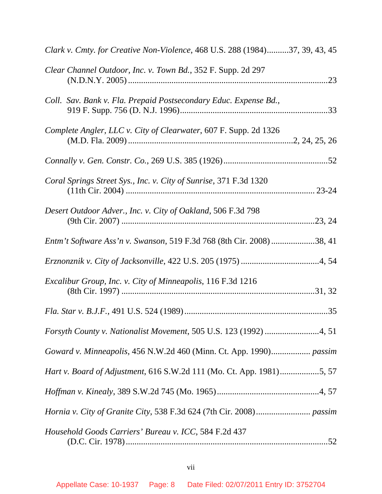| Clark v. Cmty. for Creative Non-Violence, 468 U.S. 288 (1984)37, 39, 43, 45 |
|-----------------------------------------------------------------------------|
| Clear Channel Outdoor, Inc. v. Town Bd., 352 F. Supp. 2d 297                |
| Coll. Sav. Bank v. Fla. Prepaid Postsecondary Educ. Expense Bd.,            |
| Complete Angler, LLC v. City of Clearwater, 607 F. Supp. 2d 1326            |
|                                                                             |
| Coral Springs Street Sys., Inc. v. City of Sunrise, 371 F.3d 1320           |
| Desert Outdoor Adver., Inc. v. City of Oakland, 506 F.3d 798                |
| Entm't Software Ass'n v. Swanson, 519 F.3d 768 (8th Cir. 2008)38, 41        |
|                                                                             |
| Excalibur Group, Inc. v. City of Minneapolis, 116 F.3d 1216                 |
|                                                                             |
|                                                                             |
| Goward v. Minneapolis, 456 N.W.2d 460 (Minn. Ct. App. 1990) passim          |
| Hart v. Board of Adjustment, 616 S.W.2d 111 (Mo. Ct. App. 1981)5, 57        |
|                                                                             |
|                                                                             |
| Household Goods Carriers' Bureau v. ICC, 584 F.2d 437                       |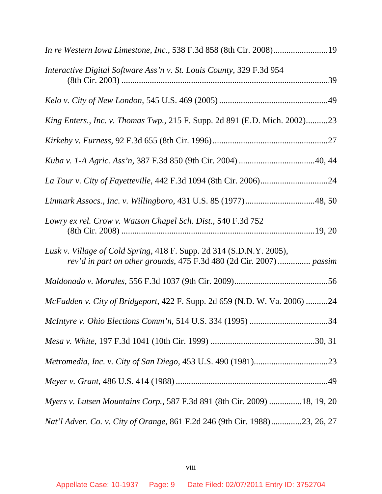| In re Western Iowa Limestone, Inc., 538 F.3d 858 (8th Cir. 2008)19                                                                          |
|---------------------------------------------------------------------------------------------------------------------------------------------|
| Interactive Digital Software Ass'n v. St. Louis County, 329 F.3d 954                                                                        |
|                                                                                                                                             |
| King Enters., Inc. v. Thomas Twp., 215 F. Supp. 2d 891 (E.D. Mich. 2002)23                                                                  |
|                                                                                                                                             |
|                                                                                                                                             |
|                                                                                                                                             |
|                                                                                                                                             |
| Lowry ex rel. Crow v. Watson Chapel Sch. Dist., 540 F.3d 752                                                                                |
| Lusk v. Village of Cold Spring, 418 F. Supp. 2d 314 (S.D.N.Y. 2005),<br>rev'd in part on other grounds, 475 F.3d 480 (2d Cir. 2007)  passim |
|                                                                                                                                             |
| McFadden v. City of Bridgeport, 422 F. Supp. 2d 659 (N.D. W. Va. 2006) 24                                                                   |
|                                                                                                                                             |
|                                                                                                                                             |
|                                                                                                                                             |
|                                                                                                                                             |
| Myers v. Lutsen Mountains Corp., 587 F.3d 891 (8th Cir. 2009) 18, 19, 20                                                                    |
| Nat'l Adver. Co. v. City of Orange, 861 F.2d 246 (9th Cir. 1988)23, 26, 27                                                                  |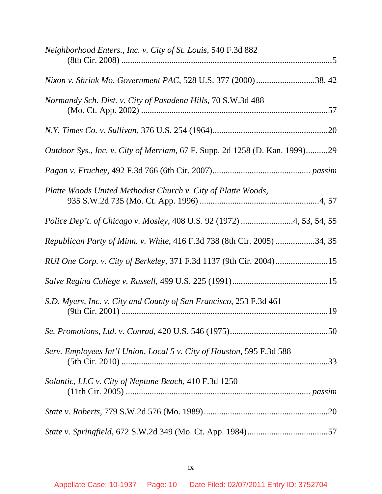| Neighborhood Enters., Inc. v. City of St. Louis, 540 F.3d 882                      |
|------------------------------------------------------------------------------------|
| Nixon v. Shrink Mo. Government PAC, 528 U.S. 377 (2000)38, 42                      |
| Normandy Sch. Dist. v. City of Pasadena Hills, 70 S.W.3d 488                       |
|                                                                                    |
| <i>Outdoor Sys., Inc. v. City of Merriam, 67 F. Supp. 2d 1258 (D. Kan. 1999)29</i> |
|                                                                                    |
| Platte Woods United Methodist Church v. City of Platte Woods,                      |
| Police Dep't. of Chicago v. Mosley, 408 U.S. 92 (1972) 4, 53, 54, 55               |
| Republican Party of Minn. v. White, 416 F.3d 738 (8th Cir. 2005) 34, 35            |
| RUI One Corp. v. City of Berkeley, 371 F.3d 1137 (9th Cir. 2004)15                 |
|                                                                                    |
| S.D. Myers, Inc. v. City and County of San Francisco, 253 F.3d 461                 |
|                                                                                    |
| Serv. Employees Int'l Union, Local 5 v. City of Houston, 595 F.3d 588              |
| Solantic, LLC v. City of Neptune Beach, 410 F.3d 1250                              |
|                                                                                    |
|                                                                                    |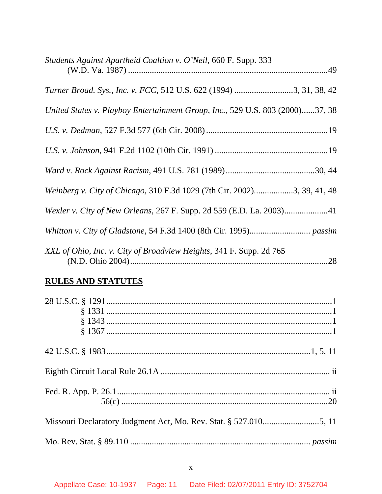| Students Against Apartheid Coaltion v. O'Neil, 660 F. Supp. 333               |
|-------------------------------------------------------------------------------|
| Turner Broad. Sys., Inc. v. FCC, 512 U.S. 622 (1994) 3, 31, 38, 42            |
| United States v. Playboy Entertainment Group, Inc., 529 U.S. 803 (2000)37, 38 |
|                                                                               |
|                                                                               |
|                                                                               |
| Weinberg v. City of Chicago, 310 F.3d 1029 (7th Cir. 2002)3, 39, 41, 48       |
|                                                                               |
|                                                                               |
| XXL of Ohio, Inc. v. City of Broadview Heights, 341 F. Supp. 2d 765<br>.28    |

# **RULES AND STATUTES**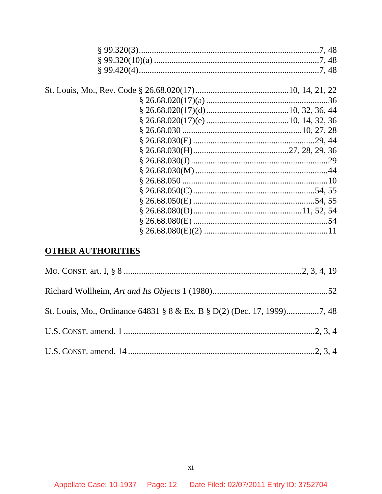# **OTHER AUTHORITIES**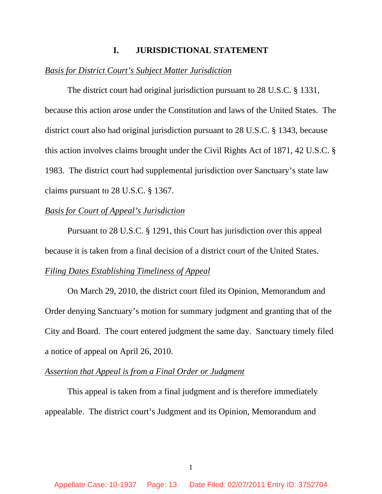#### **I. JURISDICTIONAL STATEMENT**

#### *Basis for District Court's Subject Matter Jurisdiction*

The district court had original jurisdiction pursuant to 28 U.S.C. § 1331, because this action arose under the Constitution and laws of the United States. The district court also had original jurisdiction pursuant to 28 U.S.C. § 1343, because this action involves claims brought under the Civil Rights Act of 1871, 42 U.S.C. § 1983. The district court had supplemental jurisdiction over Sanctuary's state law claims pursuant to 28 U.S.C. § 1367.

#### *Basis for Court of Appeal's Jurisdiction*

Pursuant to 28 U.S.C. § 1291, this Court has jurisdiction over this appeal because it is taken from a final decision of a district court of the United States.

#### *Filing Dates Establishing Timeliness of Appeal*

On March 29, 2010, the district court filed its Opinion, Memorandum and Order denying Sanctuary's motion for summary judgment and granting that of the City and Board. The court entered judgment the same day. Sanctuary timely filed a notice of appeal on April 26, 2010.

## *Assertion that Appeal is from a Final Order or Judgment*

This appeal is taken from a final judgment and is therefore immediately appealable. The district court's Judgment and its Opinion, Memorandum and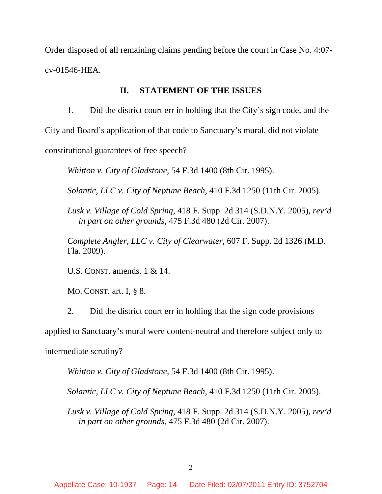Order disposed of all remaining claims pending before the court in Case No. 4:07 cv-01546-HEA.

#### **II. STATEMENT OF THE ISSUES**

1. Did the district court err in holding that the City's sign code, and the

City and Board's application of that code to Sanctuary's mural, did not violate

constitutional guarantees of free speech?

*Whitton v. City of Gladstone*, 54 F.3d 1400 (8th Cir. 1995).

*Solantic, LLC v. City of Neptune Beach*, 410 F.3d 1250 (11th Cir. 2005).

*Lusk v. Village of Cold Spring*, 418 F. Supp. 2d 314 (S.D.N.Y. 2005), *rev'd in part on other grounds*, 475 F.3d 480 (2d Cir. 2007).

*Complete Angler, LLC v. City of Clearwater*, 607 F. Supp. 2d 1326 (M.D. Fla. 2009).

U.S. CONST. amends. 1 & 14.

MO. CONST. art. I, § 8.

2. Did the district court err in holding that the sign code provisions

applied to Sanctuary's mural were content-neutral and therefore subject only to

intermediate scrutiny?

*Whitton v. City of Gladstone*, 54 F.3d 1400 (8th Cir. 1995).

*Solantic, LLC v. City of Neptune Beach*, 410 F.3d 1250 (11th Cir. 2005).

*Lusk v. Village of Cold Spring*, 418 F. Supp. 2d 314 (S.D.N.Y. 2005), *rev'd in part on other grounds*, 475 F.3d 480 (2d Cir. 2007).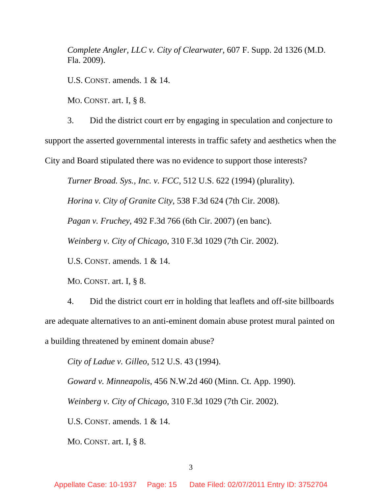*Complete Angler, LLC v. City of Clearwater*, 607 F. Supp. 2d 1326 (M.D. Fla. 2009).

U.S. CONST. amends. 1 & 14.

MO. CONST. art. I, § 8.

3. Did the district court err by engaging in speculation and conjecture to support the asserted governmental interests in traffic safety and aesthetics when the City and Board stipulated there was no evidence to support those interests?

*Turner Broad. Sys., Inc. v. FCC*, 512 U.S. 622 (1994) (plurality).

*Horina v. City of Granite City*, 538 F.3d 624 (7th Cir. 2008).

*Pagan v. Fruchey*, 492 F.3d 766 (6th Cir. 2007) (en banc).

*Weinberg v. City of Chicago*, 310 F.3d 1029 (7th Cir. 2002).

U.S. CONST. amends. 1 & 14.

MO. CONST. art. I, § 8.

4. Did the district court err in holding that leaflets and off-site billboards are adequate alternatives to an anti-eminent domain abuse protest mural painted on a building threatened by eminent domain abuse?

*City of Ladue v. Gilleo*, 512 U.S. 43 (1994).

*Goward v. Minneapolis*, 456 N.W.2d 460 (Minn. Ct. App. 1990).

*Weinberg v. City of Chicago*, 310 F.3d 1029 (7th Cir. 2002).

U.S. CONST. amends. 1 & 14.

MO. CONST. art. I, § 8.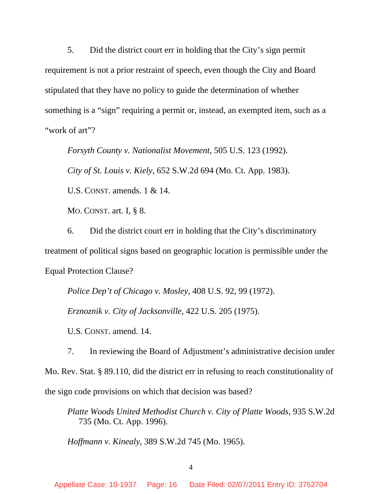5. Did the district court err in holding that the City's sign permit requirement is not a prior restraint of speech, even though the City and Board stipulated that they have no policy to guide the determination of whether something is a "sign" requiring a permit or, instead, an exempted item, such as a "work of art"?

*Forsyth County v. Nationalist Movement*, 505 U.S. 123 (1992).

*City of St. Louis v. Kiely*, 652 S.W.2d 694 (Mo. Ct. App. 1983).

U.S. CONST. amends. 1 & 14.

MO. CONST. art. I, § 8.

6. Did the district court err in holding that the City's discriminatory treatment of political signs based on geographic location is permissible under the Equal Protection Clause?

*Police Dep't of Chicago v. Mosley*, 408 U.S. 92, 99 (1972).

*Erznoznik v. City of Jacksonville*, 422 U.S. 205 (1975).

U.S. CONST. amend. 14.

7. In reviewing the Board of Adjustment's administrative decision under Mo. Rev. Stat. § 89.110, did the district err in refusing to reach constitutionality of the sign code provisions on which that decision was based?

*Platte Woods United Methodist Church v. City of Platte Woods*, 935 S.W.2d 735 (Mo. Ct. App. 1996).

*Hoffmann v. Kinealy*, 389 S.W.2d 745 (Mo. 1965).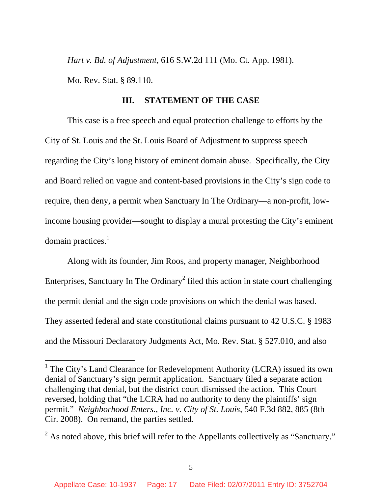*Hart v. Bd. of Adjustment*, 616 S.W.2d 111 (Mo. Ct. App. 1981).

Mo. Rev. Stat. § 89.110.

 $\overline{a}$ 

#### **III. STATEMENT OF THE CASE**

This case is a free speech and equal protection challenge to efforts by the City of St. Louis and the St. Louis Board of Adjustment to suppress speech regarding the City's long history of eminent domain abuse. Specifically, the City and Board relied on vague and content-based provisions in the City's sign code to require, then deny, a permit when Sanctuary In The Ordinary—a non-profit, lowincome housing provider—sought to display a mural protesting the City's eminent domain practices.<sup>1</sup>

Along with its founder, Jim Roos, and property manager, Neighborhood Enterprises, Sanctuary In The Ordinary<sup>2</sup> filed this action in state court challenging the permit denial and the sign code provisions on which the denial was based. They asserted federal and state constitutional claims pursuant to 42 U.S.C. § 1983 and the Missouri Declaratory Judgments Act, Mo. Rev. Stat. § 527.010, and also

<sup>&</sup>lt;sup>1</sup> The City's Land Clearance for Redevelopment Authority (LCRA) issued its own denial of Sanctuary's sign permit application. Sanctuary filed a separate action challenging that denial, but the district court dismissed the action. This Court reversed, holding that "the LCRA had no authority to deny the plaintiffs' sign permit." *Neighborhood Enters., Inc. v. City of St. Louis*, 540 F.3d 882, 885 (8th Cir. 2008). On remand, the parties settled.

 $2^{2}$  As noted above, this brief will refer to the Appellants collectively as "Sanctuary."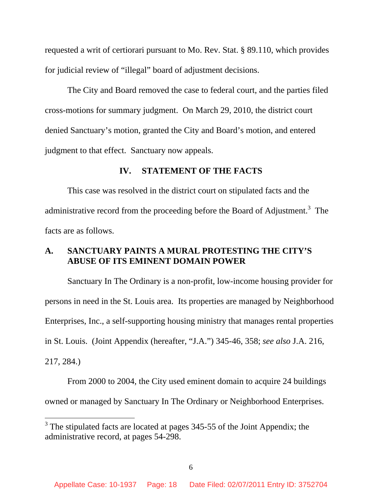requested a writ of certiorari pursuant to Mo. Rev. Stat. § 89.110, which provides for judicial review of "illegal" board of adjustment decisions.

The City and Board removed the case to federal court, and the parties filed cross-motions for summary judgment. On March 29, 2010, the district court denied Sanctuary's motion, granted the City and Board's motion, and entered judgment to that effect. Sanctuary now appeals.

#### **IV. STATEMENT OF THE FACTS**

This case was resolved in the district court on stipulated facts and the administrative record from the proceeding before the Board of Adjustment.<sup>3</sup> The facts are as follows.

### **A. SANCTUARY PAINTS A MURAL PROTESTING THE CITY'S ABUSE OF ITS EMINENT DOMAIN POWER**

Sanctuary In The Ordinary is a non-profit, low-income housing provider for persons in need in the St. Louis area. Its properties are managed by Neighborhood Enterprises, Inc., a self-supporting housing ministry that manages rental properties in St. Louis. (Joint Appendix (hereafter, "J.A.") 345-46, 358; *see also* J.A. 216, 217, 284.)

From 2000 to 2004, the City used eminent domain to acquire 24 buildings owned or managed by Sanctuary In The Ordinary or Neighborhood Enterprises.

<sup>&</sup>lt;sup>3</sup> The stipulated facts are located at pages 345-55 of the Joint Appendix; the administrative record, at pages 54-298.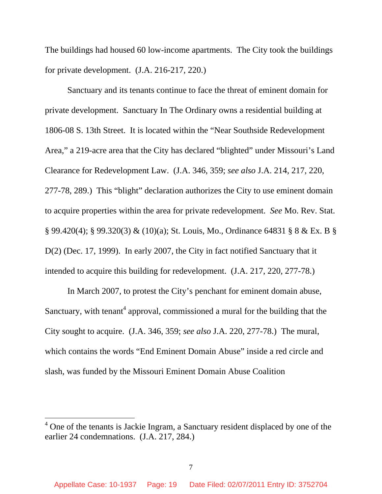The buildings had housed 60 low-income apartments. The City took the buildings for private development. (J.A. 216-217, 220.)

Sanctuary and its tenants continue to face the threat of eminent domain for private development. Sanctuary In The Ordinary owns a residential building at 1806-08 S. 13th Street. It is located within the "Near Southside Redevelopment Area," a 219-acre area that the City has declared "blighted" under Missouri's Land Clearance for Redevelopment Law. (J.A. 346, 359; *see also* J.A. 214, 217, 220, 277-78, 289.) This "blight" declaration authorizes the City to use eminent domain to acquire properties within the area for private redevelopment. *See* Mo. Rev. Stat. § 99.420(4); § 99.320(3) & (10)(a); St. Louis, Mo., Ordinance 64831 § 8 & Ex. B § D(2) (Dec. 17, 1999). In early 2007, the City in fact notified Sanctuary that it intended to acquire this building for redevelopment. (J.A. 217, 220, 277-78.)

In March 2007, to protest the City's penchant for eminent domain abuse, Sanctuary, with tenant<sup>4</sup> approval, commissioned a mural for the building that the City sought to acquire. (J.A. 346, 359; *see also* J.A. 220, 277-78.) The mural, which contains the words "End Eminent Domain Abuse" inside a red circle and slash, was funded by the Missouri Eminent Domain Abuse Coalition

<sup>&</sup>lt;sup>4</sup> One of the tenants is Jackie Ingram, a Sanctuary resident displaced by one of the earlier 24 condemnations. (J.A. 217, 284.)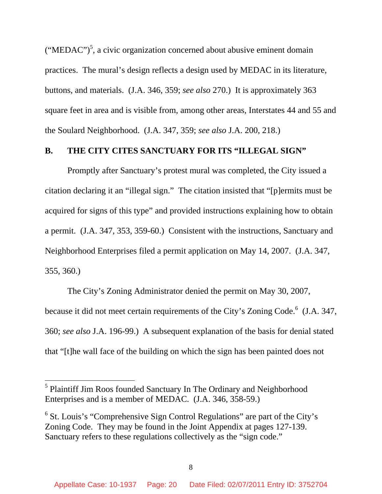("MEDAC")<sup>5</sup>, a civic organization concerned about abusive eminent domain practices. The mural's design reflects a design used by MEDAC in its literature, buttons, and materials. (J.A. 346, 359; *see also* 270.) It is approximately 363 square feet in area and is visible from, among other areas, Interstates 44 and 55 and the Soulard Neighborhood. (J.A. 347, 359; *see also* J.A. 200, 218.)

#### **B. THE CITY CITES SANCTUARY FOR ITS "ILLEGAL SIGN"**

Promptly after Sanctuary's protest mural was completed, the City issued a citation declaring it an "illegal sign." The citation insisted that "[p]ermits must be acquired for signs of this type" and provided instructions explaining how to obtain a permit. (J.A. 347, 353, 359-60.) Consistent with the instructions, Sanctuary and Neighborhood Enterprises filed a permit application on May 14, 2007. (J.A. 347, 355, 360.)

The City's Zoning Administrator denied the permit on May 30, 2007, because it did not meet certain requirements of the City's Zoning Code.<sup>6</sup> (J.A. 347, 360; *see also* J.A. 196-99.) A subsequent explanation of the basis for denial stated that "[t]he wall face of the building on which the sign has been painted does not

<sup>&</sup>lt;sup>5</sup> Plaintiff Jim Roos founded Sanctuary In The Ordinary and Neighborhood Enterprises and is a member of MEDAC. (J.A. 346, 358-59.)

 $6$  St. Louis's "Comprehensive Sign Control Regulations" are part of the City's Zoning Code. They may be found in the Joint Appendix at pages 127-139. Sanctuary refers to these regulations collectively as the "sign code."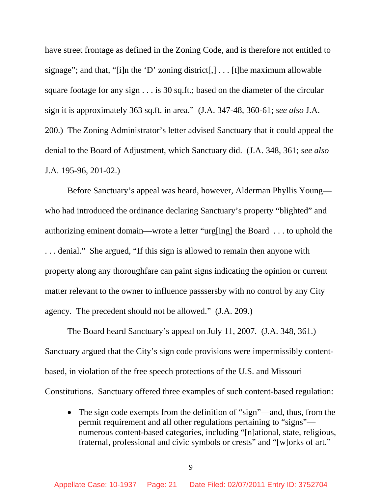have street frontage as defined in the Zoning Code, and is therefore not entitled to signage"; and that, "[i]n the 'D' zoning district[,]  $\dots$  [t]he maximum allowable square footage for any sign . . . is 30 sq.ft.; based on the diameter of the circular sign it is approximately 363 sq.ft. in area." (J.A. 347-48, 360-61; *see also* J.A. 200.) The Zoning Administrator's letter advised Sanctuary that it could appeal the denial to the Board of Adjustment, which Sanctuary did. (J.A. 348, 361; *see also* J.A. 195-96, 201-02.)

Before Sanctuary's appeal was heard, however, Alderman Phyllis Young who had introduced the ordinance declaring Sanctuary's property "blighted" and authorizing eminent domain—wrote a letter "urg[ing] the Board . . . to uphold the . . . denial." She argued, "If this sign is allowed to remain then anyone with property along any thoroughfare can paint signs indicating the opinion or current matter relevant to the owner to influence passsersby with no control by any City agency. The precedent should not be allowed." (J.A. 209.)

The Board heard Sanctuary's appeal on July 11, 2007. (J.A. 348, 361.) Sanctuary argued that the City's sign code provisions were impermissibly contentbased, in violation of the free speech protections of the U.S. and Missouri Constitutions. Sanctuary offered three examples of such content-based regulation:

• The sign code exempts from the definition of "sign"—and, thus, from the permit requirement and all other regulations pertaining to "signs" numerous content-based categories, including "[n]ational, state, religious, fraternal, professional and civic symbols or crests" and "[w]orks of art."

9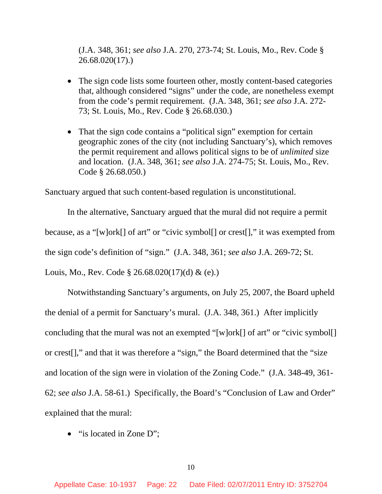(J.A. 348, 361; *see also* J.A. 270, 273-74; St. Louis, Mo., Rev. Code § 26.68.020(17).)

- The sign code lists some fourteen other, mostly content-based categories that, although considered "signs" under the code, are nonetheless exempt from the code's permit requirement. (J.A. 348, 361; *see also* J.A. 272- 73; St. Louis, Mo., Rev. Code § 26.68.030.)
- That the sign code contains a "political sign" exemption for certain geographic zones of the city (not including Sanctuary's), which removes the permit requirement and allows political signs to be of *unlimited* size and location. (J.A. 348, 361; *see also* J.A. 274-75; St. Louis, Mo., Rev. Code § 26.68.050.)

Sanctuary argued that such content-based regulation is unconstitutional.

In the alternative, Sanctuary argued that the mural did not require a permit because, as a "[w]ork[] of art" or "civic symbol[] or crest[]," it was exempted from the sign code's definition of "sign." (J.A. 348, 361; *see also* J.A. 269-72; St. Louis, Mo., Rev. Code § 26.68.020(17)(d) & (e).)

Notwithstanding Sanctuary's arguments, on July 25, 2007, the Board upheld the denial of a permit for Sanctuary's mural. (J.A. 348, 361.) After implicitly concluding that the mural was not an exempted "[w]ork[] of art" or "civic symbol[] or crest[]," and that it was therefore a "sign," the Board determined that the "size and location of the sign were in violation of the Zoning Code." (J.A. 348-49, 361- 62; *see also* J.A. 58-61.) Specifically, the Board's "Conclusion of Law and Order" explained that the mural:

• "is located in Zone D";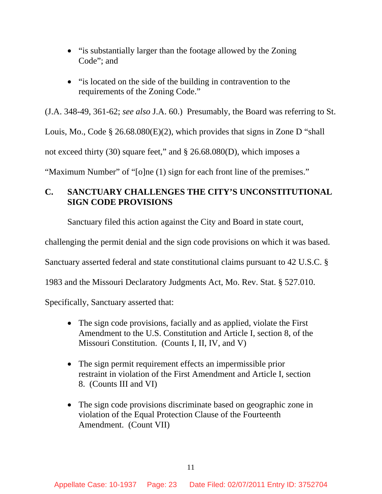- "is substantially larger than the footage allowed by the Zoning Code"; and
- "is located on the side of the building in contravention to the requirements of the Zoning Code."

(J.A. 348-49, 361-62; *see also* J.A. 60.) Presumably, the Board was referring to St.

Louis, Mo., Code § 26.68.080(E)(2), which provides that signs in Zone D "shall

not exceed thirty (30) square feet," and § 26.68.080(D), which imposes a

"Maximum Number" of "[o]ne (1) sign for each front line of the premises."

# **C. SANCTUARY CHALLENGES THE CITY'S UNCONSTITUTIONAL SIGN CODE PROVISIONS**

Sanctuary filed this action against the City and Board in state court,

challenging the permit denial and the sign code provisions on which it was based.

Sanctuary asserted federal and state constitutional claims pursuant to 42 U.S.C. §

1983 and the Missouri Declaratory Judgments Act, Mo. Rev. Stat. § 527.010.

Specifically, Sanctuary asserted that:

- The sign code provisions, facially and as applied, violate the First Amendment to the U.S. Constitution and Article I, section 8, of the Missouri Constitution. (Counts I, II, IV, and V)
- The sign permit requirement effects an impermissible prior restraint in violation of the First Amendment and Article I, section 8. (Counts III and VI)
- The sign code provisions discriminate based on geographic zone in violation of the Equal Protection Clause of the Fourteenth Amendment. (Count VII)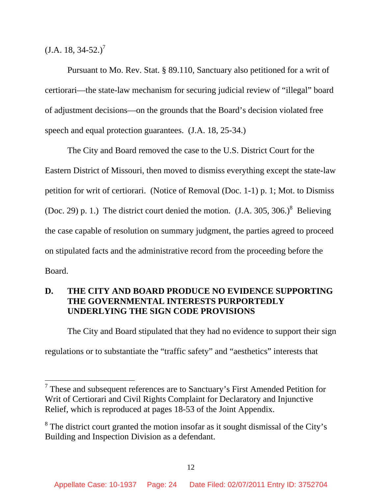$(J.A. 18, 34-52.)^7$ 

 $\overline{a}$ 

Pursuant to Mo. Rev. Stat. § 89.110, Sanctuary also petitioned for a writ of certiorari—the state-law mechanism for securing judicial review of "illegal" board of adjustment decisions—on the grounds that the Board's decision violated free speech and equal protection guarantees. (J.A. 18, 25-34.)

The City and Board removed the case to the U.S. District Court for the Eastern District of Missouri, then moved to dismiss everything except the state-law petition for writ of certiorari. (Notice of Removal (Doc. 1-1) p. 1; Mot. to Dismiss (Doc. 29) p. 1.) The district court denied the motion.  $(J.A. 305, 306.)^8$  Believing the case capable of resolution on summary judgment, the parties agreed to proceed on stipulated facts and the administrative record from the proceeding before the Board.

# **D. THE CITY AND BOARD PRODUCE NO EVIDENCE SUPPORTING THE GOVERNMENTAL INTERESTS PURPORTEDLY UNDERLYING THE SIGN CODE PROVISIONS**

The City and Board stipulated that they had no evidence to support their sign

regulations or to substantiate the "traffic safety" and "aesthetics" interests that

 $7$  These and subsequent references are to Sanctuary's First Amended Petition for Writ of Certiorari and Civil Rights Complaint for Declaratory and Injunctive Relief, which is reproduced at pages 18-53 of the Joint Appendix.

 $8$  The district court granted the motion insofar as it sought dismissal of the City's Building and Inspection Division as a defendant.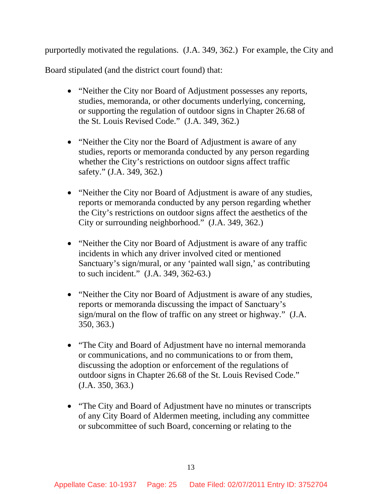purportedly motivated the regulations. (J.A. 349, 362.) For example, the City and

Board stipulated (and the district court found) that:

- "Neither the City nor Board of Adjustment possesses any reports, studies, memoranda, or other documents underlying, concerning, or supporting the regulation of outdoor signs in Chapter 26.68 of the St. Louis Revised Code." (J.A. 349, 362.)
- "Neither the City nor the Board of Adjustment is aware of any studies, reports or memoranda conducted by any person regarding whether the City's restrictions on outdoor signs affect traffic safety." (J.A. 349, 362.)
- "Neither the City nor Board of Adjustment is aware of any studies, reports or memoranda conducted by any person regarding whether the City's restrictions on outdoor signs affect the aesthetics of the City or surrounding neighborhood." (J.A. 349, 362.)
- "Neither the City nor Board of Adjustment is aware of any traffic incidents in which any driver involved cited or mentioned Sanctuary's sign/mural, or any 'painted wall sign,' as contributing to such incident." (J.A. 349, 362-63.)
- "Neither the City nor Board of Adjustment is aware of any studies, reports or memoranda discussing the impact of Sanctuary's sign/mural on the flow of traffic on any street or highway." (J.A. 350, 363.)
- "The City and Board of Adjustment have no internal memoranda" or communications, and no communications to or from them, discussing the adoption or enforcement of the regulations of outdoor signs in Chapter 26.68 of the St. Louis Revised Code." (J.A. 350, 363.)
- "The City and Board of Adjustment have no minutes or transcripts of any City Board of Aldermen meeting, including any committee or subcommittee of such Board, concerning or relating to the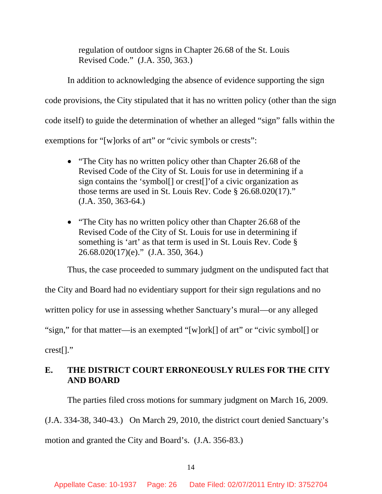regulation of outdoor signs in Chapter 26.68 of the St. Louis Revised Code." (J.A. 350, 363.)

In addition to acknowledging the absence of evidence supporting the sign code provisions, the City stipulated that it has no written policy (other than the sign code itself) to guide the determination of whether an alleged "sign" falls within the exemptions for "[w]orks of art" or "civic symbols or crests":

- "The City has no written policy other than Chapter 26.68 of the Revised Code of the City of St. Louis for use in determining if a sign contains the 'symbol[] or crest[]'of a civic organization as those terms are used in St. Louis Rev. Code § 26.68.020(17)." (J.A. 350, 363-64.)
- "The City has no written policy other than Chapter 26.68 of the Revised Code of the City of St. Louis for use in determining if something is 'art' as that term is used in St. Louis Rev. Code § 26.68.020(17)(e)." (J.A. 350, 364.)

Thus, the case proceeded to summary judgment on the undisputed fact that

the City and Board had no evidentiary support for their sign regulations and no

written policy for use in assessing whether Sanctuary's mural—or any alleged

"sign," for that matter—is an exempted "[w]ork[] of art" or "civic symbol[] or

crest[]."

## **E. THE DISTRICT COURT ERRONEOUSLY RULES FOR THE CITY AND BOARD**

The parties filed cross motions for summary judgment on March 16, 2009.

(J.A. 334-38, 340-43.) On March 29, 2010, the district court denied Sanctuary's

motion and granted the City and Board's. (J.A. 356-83.)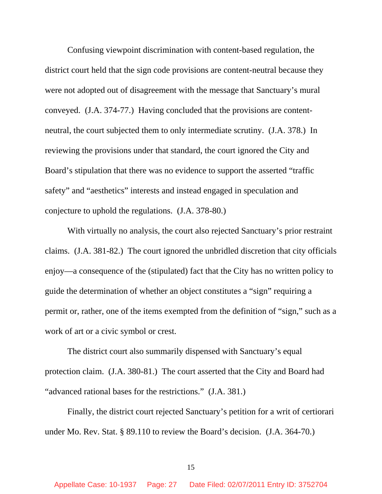Confusing viewpoint discrimination with content-based regulation, the district court held that the sign code provisions are content-neutral because they were not adopted out of disagreement with the message that Sanctuary's mural conveyed. (J.A. 374-77.) Having concluded that the provisions are contentneutral, the court subjected them to only intermediate scrutiny. (J.A. 378.) In reviewing the provisions under that standard, the court ignored the City and Board's stipulation that there was no evidence to support the asserted "traffic safety" and "aesthetics" interests and instead engaged in speculation and conjecture to uphold the regulations. (J.A. 378-80.)

With virtually no analysis, the court also rejected Sanctuary's prior restraint claims. (J.A. 381-82.) The court ignored the unbridled discretion that city officials enjoy—a consequence of the (stipulated) fact that the City has no written policy to guide the determination of whether an object constitutes a "sign" requiring a permit or, rather, one of the items exempted from the definition of "sign," such as a work of art or a civic symbol or crest.

The district court also summarily dispensed with Sanctuary's equal protection claim. (J.A. 380-81.) The court asserted that the City and Board had "advanced rational bases for the restrictions." (J.A. 381.)

Finally, the district court rejected Sanctuary's petition for a writ of certiorari under Mo. Rev. Stat. § 89.110 to review the Board's decision. (J.A. 364-70.)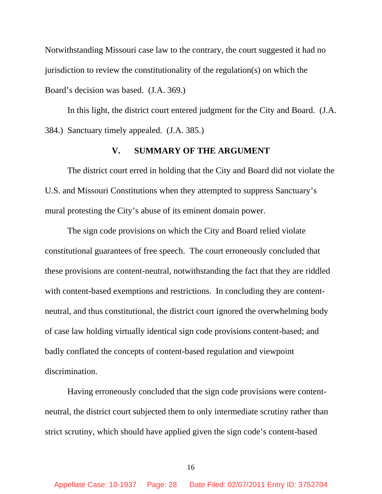Notwithstanding Missouri case law to the contrary, the court suggested it had no jurisdiction to review the constitutionality of the regulation(s) on which the Board's decision was based. (J.A. 369.)

In this light, the district court entered judgment for the City and Board. (J.A. 384.) Sanctuary timely appealed. (J.A. 385.)

#### **V. SUMMARY OF THE ARGUMENT**

The district court erred in holding that the City and Board did not violate the U.S. and Missouri Constitutions when they attempted to suppress Sanctuary's mural protesting the City's abuse of its eminent domain power.

The sign code provisions on which the City and Board relied violate constitutional guarantees of free speech. The court erroneously concluded that these provisions are content-neutral, notwithstanding the fact that they are riddled with content-based exemptions and restrictions. In concluding they are contentneutral, and thus constitutional, the district court ignored the overwhelming body of case law holding virtually identical sign code provisions content-based; and badly conflated the concepts of content-based regulation and viewpoint discrimination.

Having erroneously concluded that the sign code provisions were contentneutral, the district court subjected them to only intermediate scrutiny rather than strict scrutiny, which should have applied given the sign code's content-based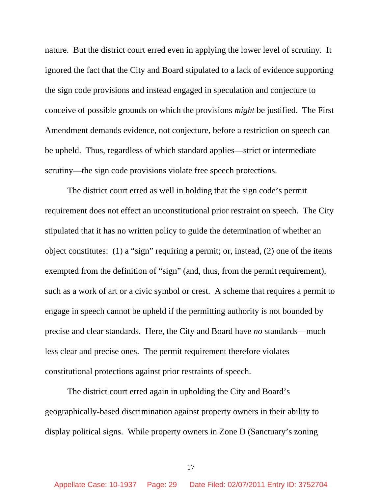nature. But the district court erred even in applying the lower level of scrutiny. It ignored the fact that the City and Board stipulated to a lack of evidence supporting the sign code provisions and instead engaged in speculation and conjecture to conceive of possible grounds on which the provisions *might* be justified. The First Amendment demands evidence, not conjecture, before a restriction on speech can be upheld. Thus, regardless of which standard applies—strict or intermediate scrutiny—the sign code provisions violate free speech protections.

The district court erred as well in holding that the sign code's permit requirement does not effect an unconstitutional prior restraint on speech. The City stipulated that it has no written policy to guide the determination of whether an object constitutes: (1) a "sign" requiring a permit; or, instead, (2) one of the items exempted from the definition of "sign" (and, thus, from the permit requirement), such as a work of art or a civic symbol or crest. A scheme that requires a permit to engage in speech cannot be upheld if the permitting authority is not bounded by precise and clear standards. Here, the City and Board have *no* standards—much less clear and precise ones. The permit requirement therefore violates constitutional protections against prior restraints of speech.

The district court erred again in upholding the City and Board's geographically-based discrimination against property owners in their ability to display political signs. While property owners in Zone D (Sanctuary's zoning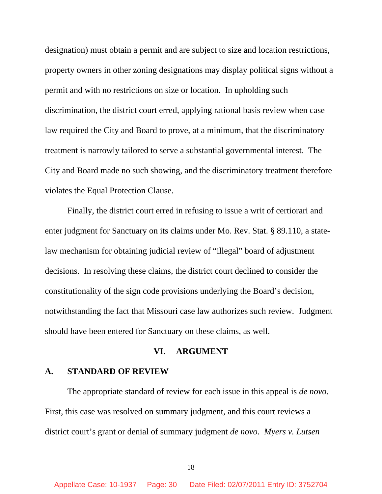designation) must obtain a permit and are subject to size and location restrictions, property owners in other zoning designations may display political signs without a permit and with no restrictions on size or location. In upholding such discrimination, the district court erred, applying rational basis review when case law required the City and Board to prove, at a minimum, that the discriminatory treatment is narrowly tailored to serve a substantial governmental interest. The City and Board made no such showing, and the discriminatory treatment therefore violates the Equal Protection Clause.

Finally, the district court erred in refusing to issue a writ of certiorari and enter judgment for Sanctuary on its claims under Mo. Rev. Stat. § 89.110, a statelaw mechanism for obtaining judicial review of "illegal" board of adjustment decisions. In resolving these claims, the district court declined to consider the constitutionality of the sign code provisions underlying the Board's decision, notwithstanding the fact that Missouri case law authorizes such review. Judgment should have been entered for Sanctuary on these claims, as well.

#### **VI. ARGUMENT**

#### **A. STANDARD OF REVIEW**

The appropriate standard of review for each issue in this appeal is *de novo*. First, this case was resolved on summary judgment, and this court reviews a district court's grant or denial of summary judgment *de novo*. *Myers v. Lutsen*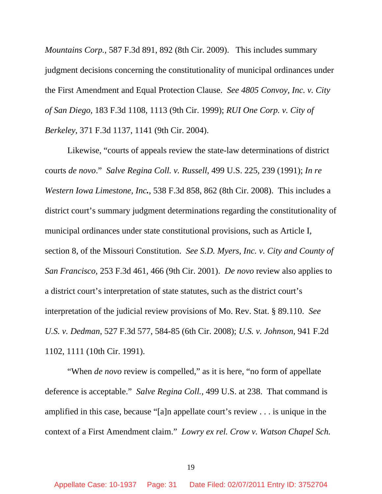*Mountains Corp.*, 587 F.3d 891, 892 (8th Cir. 2009). This includes summary judgment decisions concerning the constitutionality of municipal ordinances under the First Amendment and Equal Protection Clause. *See 4805 Convoy, Inc. v. City of San Diego*, 183 F.3d 1108, 1113 (9th Cir. 1999); *RUI One Corp. v. City of Berkeley*, 371 F.3d 1137, 1141 (9th Cir. 2004).

Likewise, "courts of appeals review the state-law determinations of district courts *de novo*." *Salve Regina Coll. v. Russell*, 499 U.S. 225, 239 (1991); *In re Western Iowa Limestone, Inc.*, 538 F.3d 858, 862 (8th Cir. 2008). This includes a district court's summary judgment determinations regarding the constitutionality of municipal ordinances under state constitutional provisions, such as Article I, section 8, of the Missouri Constitution. *See S.D. Myers, Inc. v. City and County of San Francisco*, 253 F.3d 461, 466 (9th Cir. 2001). *De novo* review also applies to a district court's interpretation of state statutes, such as the district court's interpretation of the judicial review provisions of Mo. Rev. Stat. § 89.110. *See U.S. v. Dedman*, 527 F.3d 577, 584-85 (6th Cir. 2008); *U.S. v. Johnson*, 941 F.2d 1102, 1111 (10th Cir. 1991).

"When *de novo* review is compelled," as it is here, "no form of appellate" deference is acceptable." *Salve Regina Coll.*, 499 U.S. at 238. That command is amplified in this case, because "[a]n appellate court's review . . . is unique in the context of a First Amendment claim." *Lowry ex rel. Crow v. Watson Chapel Sch.*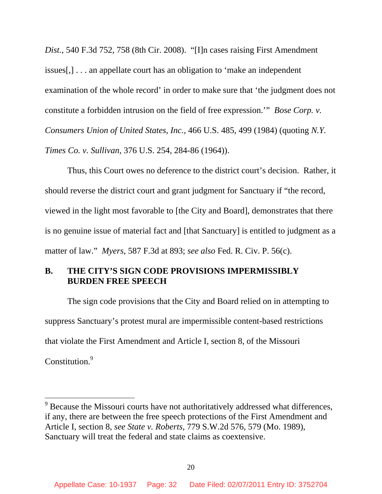*Dist.*, 540 F.3d 752, 758 (8th Cir. 2008). "[I]n cases raising First Amendment issues[,] . . . an appellate court has an obligation to 'make an independent examination of the whole record' in order to make sure that 'the judgment does not constitute a forbidden intrusion on the field of free expression.'" *Bose Corp. v. Consumers Union of United States, Inc.,* 466 U.S. 485, 499 (1984) (quoting *N.Y. Times Co. v. Sullivan*, 376 U.S. 254, 284-86 (1964)).

Thus, this Court owes no deference to the district court's decision. Rather, it should reverse the district court and grant judgment for Sanctuary if "the record, viewed in the light most favorable to [the City and Board], demonstrates that there is no genuine issue of material fact and [that Sanctuary] is entitled to judgment as a matter of law." *Myers*, 587 F.3d at 893; *see also* Fed. R. Civ. P. 56(c).

## **B. THE CITY'S SIGN CODE PROVISIONS IMPERMISSIBLY BURDEN FREE SPEECH**

The sign code provisions that the City and Board relied on in attempting to suppress Sanctuary's protest mural are impermissible content-based restrictions that violate the First Amendment and Article I, section 8, of the Missouri Constitution.<sup>9</sup>

 $9^9$  Because the Missouri courts have not authoritatively addressed what differences, if any, there are between the free speech protections of the First Amendment and Article I, section 8, *see State v. Roberts*, 779 S.W.2d 576, 579 (Mo. 1989), Sanctuary will treat the federal and state claims as coextensive.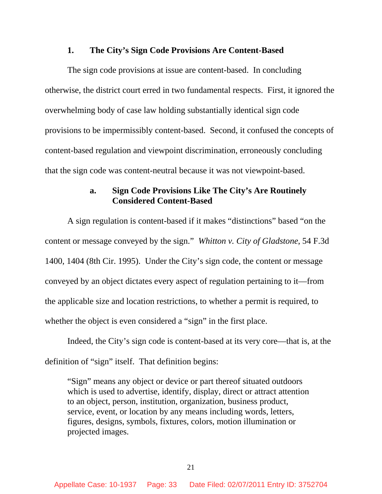#### **1. The City's Sign Code Provisions Are Content-Based**

The sign code provisions at issue are content-based. In concluding otherwise, the district court erred in two fundamental respects. First, it ignored the overwhelming body of case law holding substantially identical sign code provisions to be impermissibly content-based. Second, it confused the concepts of content-based regulation and viewpoint discrimination, erroneously concluding that the sign code was content-neutral because it was not viewpoint-based.

### **a. Sign Code Provisions Like The City's Are Routinely Considered Content-Based**

A sign regulation is content-based if it makes "distinctions" based "on the content or message conveyed by the sign." *Whitton v. City of Gladstone*, 54 F.3d 1400, 1404 (8th Cir. 1995). Under the City's sign code, the content or message conveyed by an object dictates every aspect of regulation pertaining to it—from the applicable size and location restrictions, to whether a permit is required, to whether the object is even considered a "sign" in the first place.

Indeed, the City's sign code is content-based at its very core—that is, at the definition of "sign" itself. That definition begins:

"Sign" means any object or device or part thereof situated outdoors which is used to advertise, identify, display, direct or attract attention to an object, person, institution, organization, business product, service, event, or location by any means including words, letters, figures, designs, symbols, fixtures, colors, motion illumination or projected images.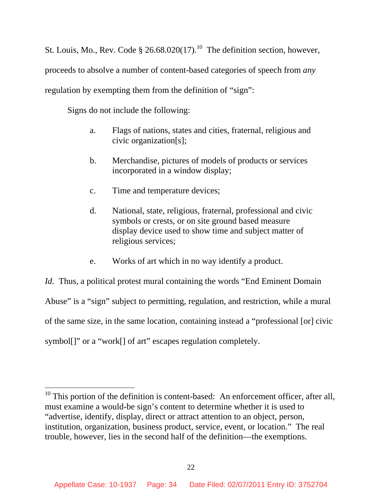St. Louis, Mo., Rev. Code § 26.68.020(17).<sup>10</sup> The definition section, however, proceeds to absolve a number of content-based categories of speech from *any* regulation by exempting them from the definition of "sign":

Signs do not include the following:

 $\overline{a}$ 

- a. Flags of nations, states and cities, fraternal, religious and civic organization[s];
- b. Merchandise, pictures of models of products or services incorporated in a window display;
- c. Time and temperature devices;
- d. National, state, religious, fraternal, professional and civic symbols or crests, or on site ground based measure display device used to show time and subject matter of religious services;
- e. Works of art which in no way identify a product.

*Id.* Thus, a political protest mural containing the words "End Eminent Domain Abuse" is a "sign" subject to permitting, regulation, and restriction, while a mural of the same size, in the same location, containing instead a "professional [or] civic symbol[]" or a "work[] of art" escapes regulation completely.

 $10$  This portion of the definition is content-based: An enforcement officer, after all, must examine a would-be sign's content to determine whether it is used to "advertise, identify, display, direct or attract attention to an object, person, institution, organization, business product, service, event, or location." The real trouble, however, lies in the second half of the definition—the exemptions.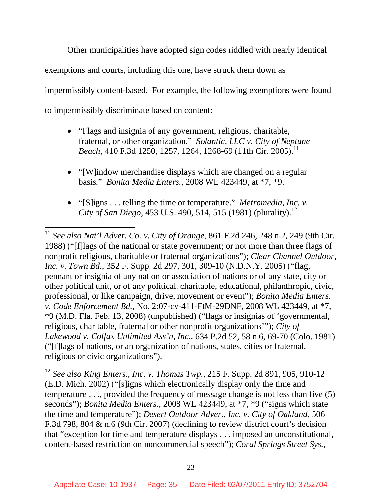Other municipalities have adopted sign codes riddled with nearly identical exemptions and courts, including this one, have struck them down as impermissibly content-based. For example, the following exemptions were found to impermissibly discriminate based on content:

- "Flags and insignia of any government, religious, charitable, fraternal, or other organization." *Solantic, LLC v. City of Neptune Beach*, 410 F.3d 1250, 1257, 1264, 1268-69 (11th Cir. 2005).<sup>11</sup>
- "[W]indow merchandise displays which are changed on a regular basis." *Bonita Media Enters.*, 2008 WL 423449, at \*7, \*9.
- "[S]igns . . . telling the time or temperature." *Metromedia, Inc. v. City of San Diego*, 453 U.S. 490, 514, 515 (1981) (plurality).<sup>12</sup>

 $\overline{a}$ 

<sup>12</sup> *See also King Enters., Inc. v. Thomas Twp.*, 215 F. Supp. 2d 891, 905, 910-12 (E.D. Mich. 2002) ("[s]igns which electronically display only the time and temperature . . ., provided the frequency of message change is not less than five (5) seconds"); *Bonita Media Enters.*, 2008 WL 423449, at \*7, \*9 ("signs which state the time and temperature"); *Desert Outdoor Adver., Inc. v. City of Oakland*, 506 F.3d 798, 804 & n.6 (9th Cir. 2007) (declining to review district court's decision that "exception for time and temperature displays . . . imposed an unconstitutional, content-based restriction on noncommercial speech"); *Coral Springs Street Sys.,* 

<sup>11</sup> *See also Nat'l Adver. Co. v. City of Orange*, 861 F.2d 246, 248 n.2, 249 (9th Cir. 1988) ("[f]lags of the national or state government; or not more than three flags of nonprofit religious, charitable or fraternal organizations"); *Clear Channel Outdoor, Inc. v. Town Bd.*, 352 F. Supp. 2d 297, 301, 309-10 (N.D.N.Y. 2005) ("flag, pennant or insignia of any nation or association of nations or of any state, city or other political unit, or of any political, charitable, educational, philanthropic, civic, professional, or like campaign, drive, movement or event"); *Bonita Media Enters. v. Code Enforcement Bd.*, No. 2:07-cv-411-FtM-29DNF, 2008 WL 423449, at \*7, \*9 (M.D. Fla. Feb. 13, 2008) (unpublished) ("flags or insignias of 'governmental, religious, charitable, fraternal or other nonprofit organizations'"); *City of Lakewood v. Colfax Unlimited Ass'n, Inc.*, 634 P.2d 52, 58 n.6, 69-70 (Colo. 1981) ("[f]lags of nations, or an organization of nations, states, cities or fraternal, religious or civic organizations").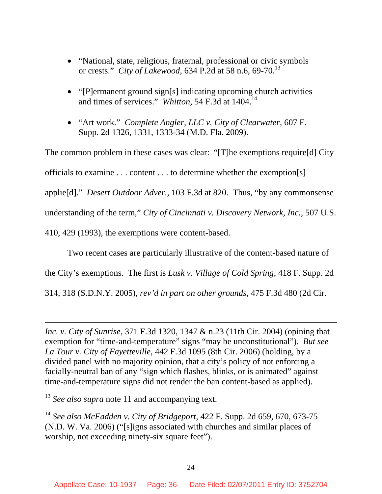- "National, state, religious, fraternal, professional or civic symbols or crests." *City of Lakewood*, 634 P.2d at 58 n.6, 69-70.<sup>13</sup>
- "[P]ermanent ground sign[s] indicating upcoming church activities and times of services." *Whitton*, 54 F.3d at 1404.14
- "Art work." *Complete Angler, LLC v. City of Clearwater*, 607 F. Supp. 2d 1326, 1331, 1333-34 (M.D. Fla. 2009).

The common problem in these cases was clear: "[T]he exemptions require[d] City officials to examine . . . content . . . to determine whether the exemption[s] applie[d]." *Desert Outdoor Adver.*, 103 F.3d at 820. Thus, "by any commonsense understanding of the term," *City of Cincinnati v. Discovery Network, Inc.*, 507 U.S. 410, 429 (1993), the exemptions were content-based.

Two recent cases are particularly illustrative of the content-based nature of

the City's exemptions. The first is *Lusk v. Village of Cold Spring*, 418 F. Supp. 2d

314, 318 (S.D.N.Y. 2005), *rev'd in part on other grounds*, 475 F.3d 480 (2d Cir.

<sup>13</sup> *See also supra* note 11 and accompanying text.

 $\overline{a}$ 

<sup>14</sup> *See also McFadden v. City of Bridgeport*, 422 F. Supp. 2d 659, 670, 673-75 (N.D. W. Va. 2006) ("[s]igns associated with churches and similar places of worship, not exceeding ninety-six square feet").

*Inc. v. City of Sunrise*, 371 F.3d 1320, 1347 & n.23 (11th Cir. 2004) (opining that exemption for "time-and-temperature" signs "may be unconstitutional"). *But see La Tour v. City of Fayetteville*, 442 F.3d 1095 (8th Cir. 2006) (holding, by a divided panel with no majority opinion, that a city's policy of not enforcing a facially-neutral ban of any "sign which flashes, blinks, or is animated" against time-and-temperature signs did not render the ban content-based as applied).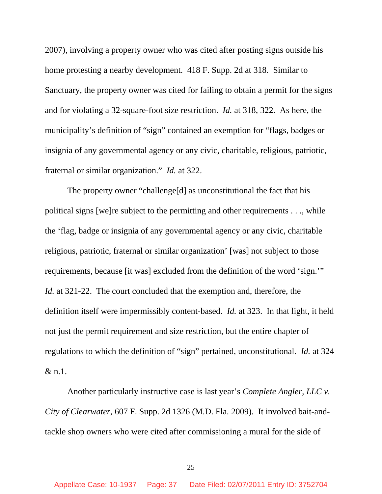2007), involving a property owner who was cited after posting signs outside his home protesting a nearby development. 418 F. Supp. 2d at 318. Similar to Sanctuary, the property owner was cited for failing to obtain a permit for the signs and for violating a 32-square-foot size restriction. *Id.* at 318, 322. As here, the municipality's definition of "sign" contained an exemption for "flags, badges or insignia of any governmental agency or any civic, charitable, religious, patriotic, fraternal or similar organization." *Id.* at 322.

The property owner "challenge[d] as unconstitutional the fact that his political signs [we]re subject to the permitting and other requirements . . ., while the 'flag, badge or insignia of any governmental agency or any civic, charitable religious, patriotic, fraternal or similar organization' [was] not subject to those requirements, because [it was] excluded from the definition of the word 'sign.'" *Id.* at 321-22. The court concluded that the exemption and, therefore, the definition itself were impermissibly content-based. *Id.* at 323. In that light, it held not just the permit requirement and size restriction, but the entire chapter of regulations to which the definition of "sign" pertained, unconstitutional. *Id.* at 324 & n.1.

Another particularly instructive case is last year's *Complete Angler, LLC v. City of Clearwater*, 607 F. Supp. 2d 1326 (M.D. Fla. 2009). It involved bait-andtackle shop owners who were cited after commissioning a mural for the side of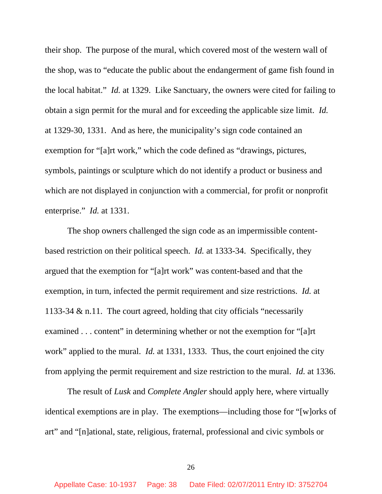their shop. The purpose of the mural, which covered most of the western wall of the shop, was to "educate the public about the endangerment of game fish found in the local habitat." *Id.* at 1329. Like Sanctuary, the owners were cited for failing to obtain a sign permit for the mural and for exceeding the applicable size limit. *Id.* at 1329-30, 1331. And as here, the municipality's sign code contained an exemption for "[a]rt work," which the code defined as "drawings, pictures, symbols, paintings or sculpture which do not identify a product or business and which are not displayed in conjunction with a commercial, for profit or nonprofit enterprise." *Id.* at 1331.

The shop owners challenged the sign code as an impermissible contentbased restriction on their political speech. *Id.* at 1333-34. Specifically, they argued that the exemption for "[a]rt work" was content-based and that the exemption, in turn, infected the permit requirement and size restrictions. *Id.* at 1133-34 & n.11. The court agreed, holding that city officials "necessarily examined . . . content" in determining whether or not the exemption for "[a]rt work" applied to the mural. *Id.* at 1331, 1333. Thus, the court enjoined the city from applying the permit requirement and size restriction to the mural. *Id.* at 1336.

The result of *Lusk* and *Complete Angler* should apply here, where virtually identical exemptions are in play. The exemptions—including those for "[w]orks of art" and "[n]ational, state, religious, fraternal, professional and civic symbols or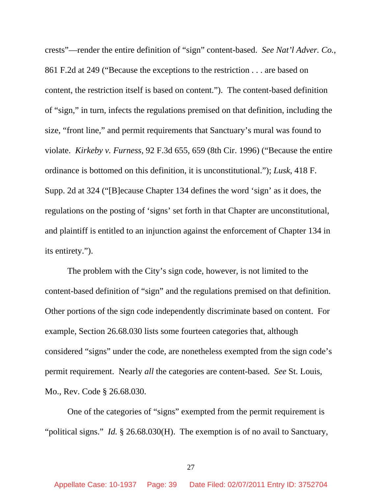crests"—render the entire definition of "sign" content-based. *See Nat'l Adver. Co.*, 861 F.2d at 249 ("Because the exceptions to the restriction . . . are based on content, the restriction itself is based on content."). The content-based definition of "sign," in turn, infects the regulations premised on that definition, including the size, "front line," and permit requirements that Sanctuary's mural was found to violate. *Kirkeby v. Furness*, 92 F.3d 655, 659 (8th Cir. 1996) ("Because the entire ordinance is bottomed on this definition, it is unconstitutional."); *Lusk*, 418 F. Supp. 2d at 324 ("[B]ecause Chapter 134 defines the word 'sign' as it does, the regulations on the posting of 'signs' set forth in that Chapter are unconstitutional, and plaintiff is entitled to an injunction against the enforcement of Chapter 134 in its entirety.").

The problem with the City's sign code, however, is not limited to the content-based definition of "sign" and the regulations premised on that definition. Other portions of the sign code independently discriminate based on content. For example, Section 26.68.030 lists some fourteen categories that, although considered "signs" under the code, are nonetheless exempted from the sign code's permit requirement. Nearly *all* the categories are content-based. *See* St. Louis, Mo., Rev. Code § 26.68.030.

One of the categories of "signs" exempted from the permit requirement is "political signs." *Id.* § 26.68.030(H). The exemption is of no avail to Sanctuary,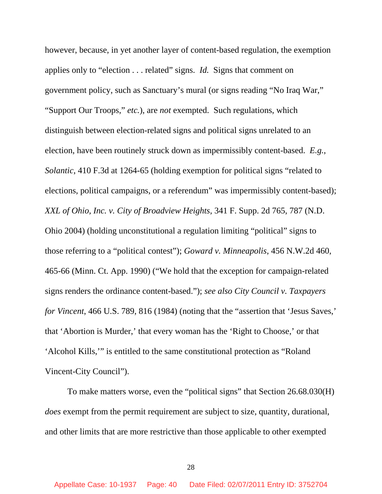however, because, in yet another layer of content-based regulation, the exemption applies only to "election . . . related" signs. *Id.* Signs that comment on government policy, such as Sanctuary's mural (or signs reading "No Iraq War," "Support Our Troops," *etc.*), are *not* exempted. Such regulations, which distinguish between election-related signs and political signs unrelated to an election, have been routinely struck down as impermissibly content-based. *E.g.*, *Solantic*, 410 F.3d at 1264-65 (holding exemption for political signs "related to elections, political campaigns, or a referendum" was impermissibly content-based); *XXL of Ohio, Inc. v. City of Broadview Heights*, 341 F. Supp. 2d 765, 787 (N.D. Ohio 2004) (holding unconstitutional a regulation limiting "political" signs to those referring to a "political contest"); *Goward v. Minneapolis*, 456 N.W.2d 460, 465-66 (Minn. Ct. App. 1990) ("We hold that the exception for campaign-related signs renders the ordinance content-based."); *see also City Council v. Taxpayers for Vincent*, 466 U.S. 789, 816 (1984) (noting that the "assertion that 'Jesus Saves,' that 'Abortion is Murder,' that every woman has the 'Right to Choose,' or that 'Alcohol Kills,'" is entitled to the same constitutional protection as "Roland Vincent-City Council").

To make matters worse, even the "political signs" that Section 26.68.030(H) *does* exempt from the permit requirement are subject to size, quantity, durational, and other limits that are more restrictive than those applicable to other exempted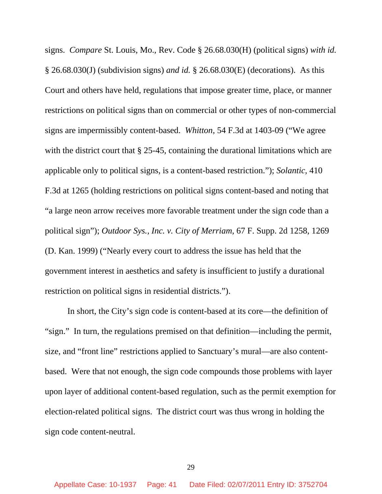signs. *Compare* St. Louis, Mo., Rev. Code § 26.68.030(H) (political signs) *with id.* § 26.68.030(J) (subdivision signs) *and id.* § 26.68.030(E) (decorations). As this Court and others have held, regulations that impose greater time, place, or manner restrictions on political signs than on commercial or other types of non-commercial signs are impermissibly content-based. *Whitton*, 54 F.3d at 1403-09 ("We agree with the district court that § 25-45, containing the durational limitations which are applicable only to political signs, is a content-based restriction."); *Solantic*, 410 F.3d at 1265 (holding restrictions on political signs content-based and noting that "a large neon arrow receives more favorable treatment under the sign code than a political sign"); *Outdoor Sys., Inc. v. City of Merriam*, 67 F. Supp. 2d 1258, 1269 (D. Kan. 1999) ("Nearly every court to address the issue has held that the government interest in aesthetics and safety is insufficient to justify a durational restriction on political signs in residential districts.").

 In short, the City's sign code is content-based at its core—the definition of "sign." In turn, the regulations premised on that definition—including the permit, size, and "front line" restrictions applied to Sanctuary's mural—are also contentbased. Were that not enough, the sign code compounds those problems with layer upon layer of additional content-based regulation, such as the permit exemption for election-related political signs. The district court was thus wrong in holding the sign code content-neutral.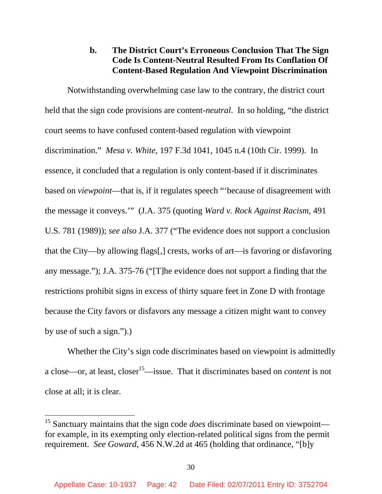# **b. The District Court's Erroneous Conclusion That The Sign Code Is Content-Neutral Resulted From Its Conflation Of Content-Based Regulation And Viewpoint Discrimination**

Notwithstanding overwhelming case law to the contrary, the district court held that the sign code provisions are content-*neutral*. In so holding, "the district court seems to have confused content-based regulation with viewpoint discrimination." *Mesa v. White*, 197 F.3d 1041, 1045 n.4 (10th Cir. 1999). In essence, it concluded that a regulation is only content-based if it discriminates based on *viewpoint*—that is, if it regulates speech "'because of disagreement with the message it conveys.'" (J.A. 375 (quoting *Ward v. Rock Against Racism*, 491 U.S. 781 (1989)); *see also* J.A. 377 ("The evidence does not support a conclusion that the City—by allowing flags[,] crests, works of art—is favoring or disfavoring any message."); J.A. 375-76 ("[T]he evidence does not support a finding that the restrictions prohibit signs in excess of thirty square feet in Zone D with frontage because the City favors or disfavors any message a citizen might want to convey by use of such a sign.").)

Whether the City's sign code discriminates based on viewpoint is admittedly a close—or, at least, closer15—issue. That it discriminates based on *content* is not close at all; it is clear.

<sup>&</sup>lt;sup>15</sup> Sanctuary maintains that the sign code *does* discriminate based on viewpoint for example, in its exempting only election-related political signs from the permit requirement. *See Goward*, 456 N.W.2d at 465 (holding that ordinance, "[b]y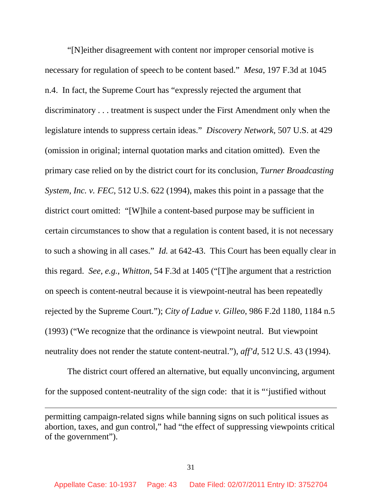"[N]either disagreement with content nor improper censorial motive is necessary for regulation of speech to be content based." *Mesa*, 197 F.3d at 1045 n.4. In fact, the Supreme Court has "expressly rejected the argument that discriminatory . . . treatment is suspect under the First Amendment only when the legislature intends to suppress certain ideas." *Discovery Network*, 507 U.S. at 429 (omission in original; internal quotation marks and citation omitted). Even the primary case relied on by the district court for its conclusion, *Turner Broadcasting System, Inc. v. FEC*, 512 U.S. 622 (1994), makes this point in a passage that the district court omitted: "[W]hile a content-based purpose may be sufficient in certain circumstances to show that a regulation is content based, it is not necessary to such a showing in all cases." *Id.* at 642-43. This Court has been equally clear in this regard. *See, e.g.*, *Whitton*, 54 F.3d at 1405 ("[T]he argument that a restriction on speech is content-neutral because it is viewpoint-neutral has been repeatedly rejected by the Supreme Court."); *City of Ladue v. Gilleo*, 986 F.2d 1180, 1184 n.5 (1993) ("We recognize that the ordinance is viewpoint neutral. But viewpoint neutrality does not render the statute content-neutral."), *aff'd*, 512 U.S. 43 (1994).

The district court offered an alternative, but equally unconvincing, argument for the supposed content-neutrality of the sign code: that it is "'justified without

permitting campaign-related signs while banning signs on such political issues as abortion, taxes, and gun control," had "the effect of suppressing viewpoints critical of the government").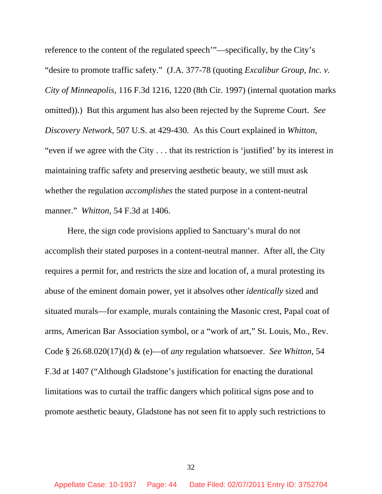reference to the content of the regulated speech'"—specifically, by the City's "desire to promote traffic safety." (J.A. 377-78 (quoting *Excalibur Group, Inc. v. City of Minneapolis*, 116 F.3d 1216, 1220 (8th Cir. 1997) (internal quotation marks omitted)).) But this argument has also been rejected by the Supreme Court. *See Discovery Network*, 507 U.S. at 429-430. As this Court explained in *Whitton*, "even if we agree with the City . . . that its restriction is 'justified' by its interest in maintaining traffic safety and preserving aesthetic beauty, we still must ask whether the regulation *accomplishes* the stated purpose in a content-neutral manner." *Whitton*, 54 F.3d at 1406.

Here, the sign code provisions applied to Sanctuary's mural do not accomplish their stated purposes in a content-neutral manner. After all, the City requires a permit for, and restricts the size and location of, a mural protesting its abuse of the eminent domain power, yet it absolves other *identically* sized and situated murals—for example, murals containing the Masonic crest, Papal coat of arms, American Bar Association symbol, or a "work of art," St. Louis, Mo., Rev. Code § 26.68.020(17)(d) & (e)—of *any* regulation whatsoever. *See Whitton*, 54 F.3d at 1407 ("Although Gladstone's justification for enacting the durational limitations was to curtail the traffic dangers which political signs pose and to promote aesthetic beauty, Gladstone has not seen fit to apply such restrictions to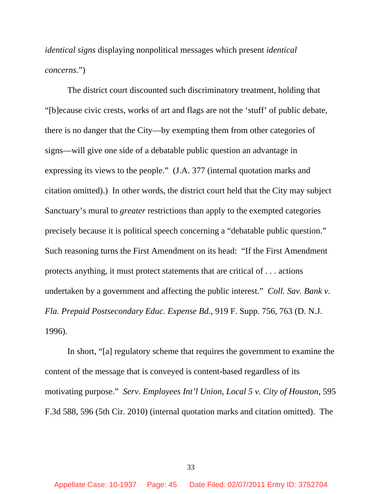*identical signs* displaying nonpolitical messages which present *identical concerns.*")

The district court discounted such discriminatory treatment, holding that "[b]ecause civic crests, works of art and flags are not the 'stuff' of public debate, there is no danger that the City—by exempting them from other categories of signs—will give one side of a debatable public question an advantage in expressing its views to the people." (J.A. 377 (internal quotation marks and citation omitted).) In other words, the district court held that the City may subject Sanctuary's mural to *greater* restrictions than apply to the exempted categories precisely because it is political speech concerning a "debatable public question." Such reasoning turns the First Amendment on its head: "If the First Amendment protects anything, it must protect statements that are critical of . . . actions undertaken by a government and affecting the public interest." *Coll. Sav. Bank v. Fla. Prepaid Postsecondary Educ. Expense Bd.*, 919 F. Supp. 756, 763 (D. N.J. 1996).

In short, "[a] regulatory scheme that requires the government to examine the content of the message that is conveyed is content-based regardless of its motivating purpose." *Serv. Employees Int'l Union, Local 5 v. City of Houston*, 595 F.3d 588, 596 (5th Cir. 2010) (internal quotation marks and citation omitted). The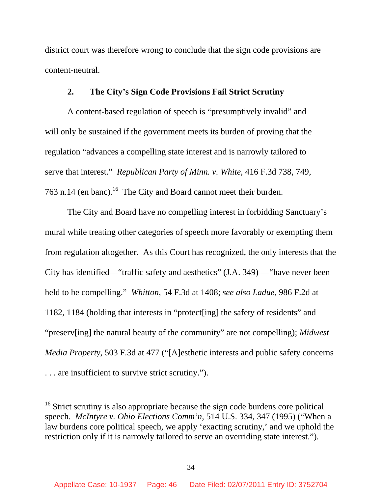district court was therefore wrong to conclude that the sign code provisions are content-neutral.

## **2. The City's Sign Code Provisions Fail Strict Scrutiny**

A content-based regulation of speech is "presumptively invalid" and will only be sustained if the government meets its burden of proving that the regulation "advances a compelling state interest and is narrowly tailored to serve that interest." *Republican Party of Minn. v. White*, 416 F.3d 738, 749, 763 n.14 (en banc).<sup>16</sup> The City and Board cannot meet their burden.

The City and Board have no compelling interest in forbidding Sanctuary's mural while treating other categories of speech more favorably or exempting them from regulation altogether. As this Court has recognized, the only interests that the City has identified—"traffic safety and aesthetics" (J.A. 349) —"have never been held to be compelling." *Whitton*, 54 F.3d at 1408; *see also Ladue*, 986 F.2d at 1182, 1184 (holding that interests in "protect[ing] the safety of residents" and "preserv[ing] the natural beauty of the community" are not compelling); *Midwest Media Property*, 503 F.3d at 477 ("[A]esthetic interests and public safety concerns . . . are insufficient to survive strict scrutiny.").

<sup>&</sup>lt;sup>16</sup> Strict scrutiny is also appropriate because the sign code burdens core political speech. *McIntyre v. Ohio Elections Comm'n*, 514 U.S. 334, 347 (1995) ("When a law burdens core political speech, we apply 'exacting scrutiny,' and we uphold the restriction only if it is narrowly tailored to serve an overriding state interest.").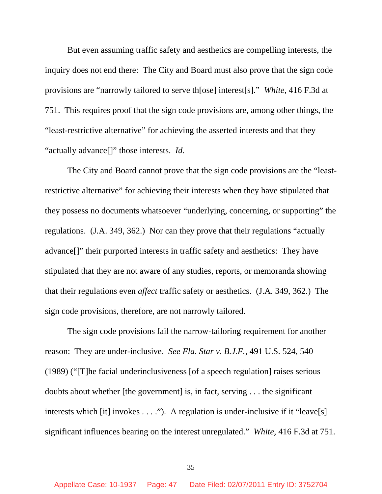But even assuming traffic safety and aesthetics are compelling interests, the inquiry does not end there: The City and Board must also prove that the sign code provisions are "narrowly tailored to serve th[ose] interest[s]." *White*, 416 F.3d at 751. This requires proof that the sign code provisions are, among other things, the "least-restrictive alternative" for achieving the asserted interests and that they "actually advance[]" those interests. *Id.*

The City and Board cannot prove that the sign code provisions are the "leastrestrictive alternative" for achieving their interests when they have stipulated that they possess no documents whatsoever "underlying, concerning, or supporting" the regulations. (J.A. 349, 362.) Nor can they prove that their regulations "actually advance[]" their purported interests in traffic safety and aesthetics: They have stipulated that they are not aware of any studies, reports, or memoranda showing that their regulations even *affect* traffic safety or aesthetics. (J.A. 349, 362.) The sign code provisions, therefore, are not narrowly tailored.

The sign code provisions fail the narrow-tailoring requirement for another reason: They are under-inclusive. *See Fla. Star v. B.J.F.*, 491 U.S. 524, 540 (1989) ("[T]he facial underinclusiveness [of a speech regulation] raises serious doubts about whether [the government] is, in fact, serving . . . the significant interests which [it] invokes  $\dots$ ."). A regulation is under-inclusive if it "leave[s] significant influences bearing on the interest unregulated." *White*, 416 F.3d at 751.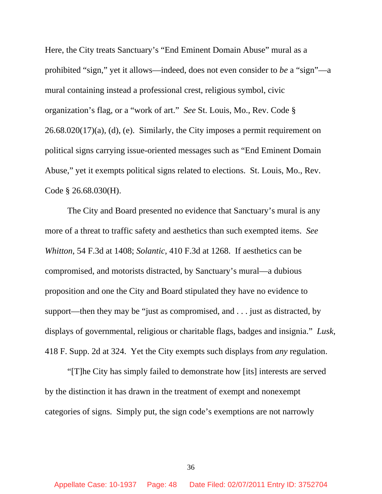Here, the City treats Sanctuary's "End Eminent Domain Abuse" mural as a prohibited "sign," yet it allows—indeed, does not even consider to *be* a "sign"—a mural containing instead a professional crest, religious symbol, civic organization's flag, or a "work of art." *See* St. Louis, Mo., Rev. Code §  $26.68.020(17)(a)$ , (d), (e). Similarly, the City imposes a permit requirement on political signs carrying issue-oriented messages such as "End Eminent Domain Abuse," yet it exempts political signs related to elections. St. Louis, Mo., Rev. Code § 26.68.030(H).

The City and Board presented no evidence that Sanctuary's mural is any more of a threat to traffic safety and aesthetics than such exempted items. *See Whitton*, 54 F.3d at 1408; *Solantic*, 410 F.3d at 1268. If aesthetics can be compromised, and motorists distracted, by Sanctuary's mural—a dubious proposition and one the City and Board stipulated they have no evidence to support—then they may be "just as compromised, and . . . just as distracted, by displays of governmental, religious or charitable flags, badges and insignia." *Lusk*, 418 F. Supp. 2d at 324. Yet the City exempts such displays from *any* regulation.

"[T]he City has simply failed to demonstrate how [its] interests are served by the distinction it has drawn in the treatment of exempt and nonexempt categories of signs. Simply put, the sign code's exemptions are not narrowly

36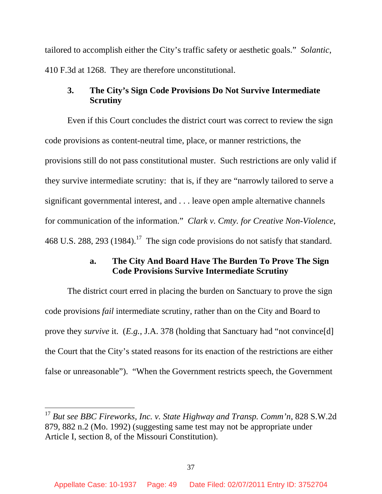tailored to accomplish either the City's traffic safety or aesthetic goals." *Solantic*, 410 F.3d at 1268. They are therefore unconstitutional.

# **3. The City's Sign Code Provisions Do Not Survive Intermediate Scrutiny**

Even if this Court concludes the district court was correct to review the sign code provisions as content-neutral time, place, or manner restrictions, the provisions still do not pass constitutional muster. Such restrictions are only valid if they survive intermediate scrutiny: that is, if they are "narrowly tailored to serve a significant governmental interest, and . . . leave open ample alternative channels for communication of the information." *Clark v. Cmty. for Creative Non-Violence*, 468 U.S. 288, 293 (1984).<sup>17</sup> The sign code provisions do not satisfy that standard.

# **a. The City And Board Have The Burden To Prove The Sign Code Provisions Survive Intermediate Scrutiny**

The district court erred in placing the burden on Sanctuary to prove the sign code provisions *fail* intermediate scrutiny, rather than on the City and Board to prove they *survive* it. (*E.g.*, J.A. 378 (holding that Sanctuary had "not convince[d] the Court that the City's stated reasons for its enaction of the restrictions are either false or unreasonable"). "When the Government restricts speech, the Government

<sup>17</sup> *But see BBC Fireworks, Inc. v. State Highway and Transp. Comm'n*, 828 S.W.2d 879, 882 n.2 (Mo. 1992) (suggesting same test may not be appropriate under Article I, section 8, of the Missouri Constitution).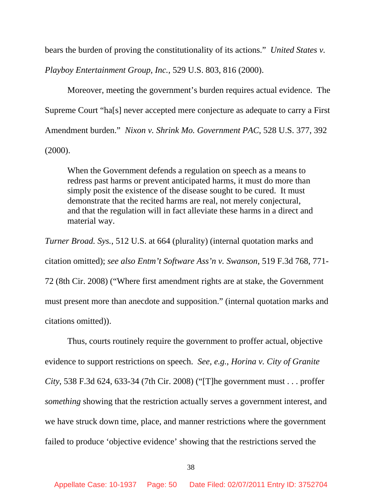bears the burden of proving the constitutionality of its actions." *United States v.* 

*Playboy Entertainment Group, Inc.*, 529 U.S. 803, 816 (2000).

Moreover, meeting the government's burden requires actual evidence. The Supreme Court "ha[s] never accepted mere conjecture as adequate to carry a First Amendment burden." *Nixon v. Shrink Mo. Government PAC*, 528 U.S. 377, 392 (2000).

When the Government defends a regulation on speech as a means to redress past harms or prevent anticipated harms, it must do more than simply posit the existence of the disease sought to be cured. It must demonstrate that the recited harms are real, not merely conjectural, and that the regulation will in fact alleviate these harms in a direct and material way.

*Turner Broad. Sys.*, 512 U.S. at 664 (plurality) (internal quotation marks and citation omitted); *see also Entm't Software Ass'n v. Swanson*, 519 F.3d 768, 771- 72 (8th Cir. 2008) ("Where first amendment rights are at stake, the Government must present more than anecdote and supposition." (internal quotation marks and citations omitted)).

Thus, courts routinely require the government to proffer actual, objective evidence to support restrictions on speech. *See, e.g.*, *Horina v. City of Granite City*, 538 F.3d 624, 633-34 (7th Cir. 2008) ("[T]he government must . . . proffer *something* showing that the restriction actually serves a government interest, and we have struck down time, place, and manner restrictions where the government failed to produce 'objective evidence' showing that the restrictions served the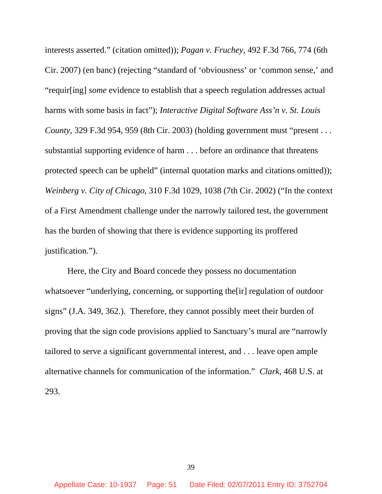interests asserted." (citation omitted)); *Pagan v. Fruchey*, 492 F.3d 766, 774 (6th Cir. 2007) (en banc) (rejecting "standard of 'obviousness' or 'common sense,' and "requir[ing] *some* evidence to establish that a speech regulation addresses actual harms with some basis in fact"); *Interactive Digital Software Ass'n v. St. Louis County*, 329 F.3d 954, 959 (8th Cir. 2003) (holding government must "present . . . substantial supporting evidence of harm . . . before an ordinance that threatens protected speech can be upheld" (internal quotation marks and citations omitted)); *Weinberg v. City of Chicago*, 310 F.3d 1029, 1038 (7th Cir. 2002) ("In the context of a First Amendment challenge under the narrowly tailored test, the government has the burden of showing that there is evidence supporting its proffered justification.").

Here, the City and Board concede they possess no documentation whatsoever "underlying, concerning, or supporting the[ir] regulation of outdoor signs" (J.A. 349, 362.). Therefore, they cannot possibly meet their burden of proving that the sign code provisions applied to Sanctuary's mural are "narrowly tailored to serve a significant governmental interest, and . . . leave open ample alternative channels for communication of the information." *Clark*, 468 U.S. at 293.

39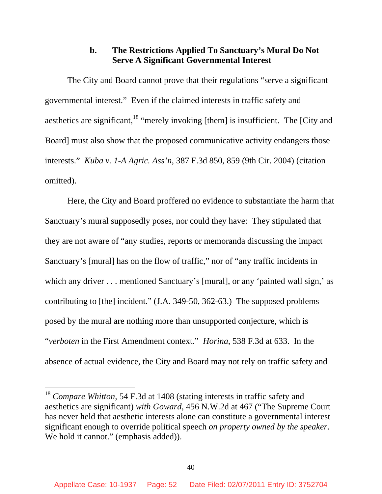## **b. The Restrictions Applied To Sanctuary's Mural Do Not Serve A Significant Governmental Interest**

The City and Board cannot prove that their regulations "serve a significant governmental interest." Even if the claimed interests in traffic safety and aesthetics are significant,  $18$  "merely invoking [them] is insufficient. The [City and Board] must also show that the proposed communicative activity endangers those interests." *Kuba v. 1-A Agric. Ass'n*, 387 F.3d 850, 859 (9th Cir. 2004) (citation omitted).

Here, the City and Board proffered no evidence to substantiate the harm that Sanctuary's mural supposedly poses, nor could they have: They stipulated that they are not aware of "any studies, reports or memoranda discussing the impact Sanctuary's [mural] has on the flow of traffic," nor of "any traffic incidents in which any driver . . . mentioned Sanctuary's [mural], or any 'painted wall sign,' as contributing to [the] incident." (J.A. 349-50, 362-63.) The supposed problems posed by the mural are nothing more than unsupported conjecture, which is "*verboten* in the First Amendment context." *Horina*, 538 F.3d at 633. In the absence of actual evidence, the City and Board may not rely on traffic safety and

<sup>18</sup> *Compare Whitton*, 54 F.3d at 1408 (stating interests in traffic safety and aesthetics are significant) *with Goward*, 456 N.W.2d at 467 ("The Supreme Court has never held that aesthetic interests alone can constitute a governmental interest significant enough to override political speech *on property owned by the speaker*. We hold it cannot." (emphasis added)).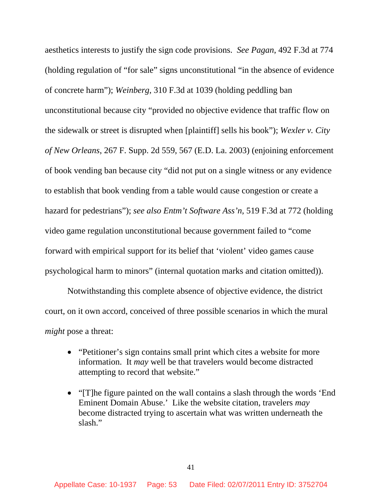aesthetics interests to justify the sign code provisions. *See Pagan*, 492 F.3d at 774 (holding regulation of "for sale" signs unconstitutional "in the absence of evidence of concrete harm"); *Weinberg*, 310 F.3d at 1039 (holding peddling ban unconstitutional because city "provided no objective evidence that traffic flow on the sidewalk or street is disrupted when [plaintiff] sells his book"); *Wexler v. City of New Orleans*, 267 F. Supp. 2d 559, 567 (E.D. La. 2003) (enjoining enforcement of book vending ban because city "did not put on a single witness or any evidence to establish that book vending from a table would cause congestion or create a hazard for pedestrians"); *see also Entm't Software Ass'n*, 519 F.3d at 772 (holding video game regulation unconstitutional because government failed to "come forward with empirical support for its belief that 'violent' video games cause psychological harm to minors" (internal quotation marks and citation omitted)).

Notwithstanding this complete absence of objective evidence, the district court, on it own accord, conceived of three possible scenarios in which the mural *might* pose a threat:

- "Petitioner's sign contains small print which cites a website for more information. It *may* well be that travelers would become distracted attempting to record that website."
- "[T]he figure painted on the wall contains a slash through the words 'End Eminent Domain Abuse.' Like the website citation, travelers *may* become distracted trying to ascertain what was written underneath the slash."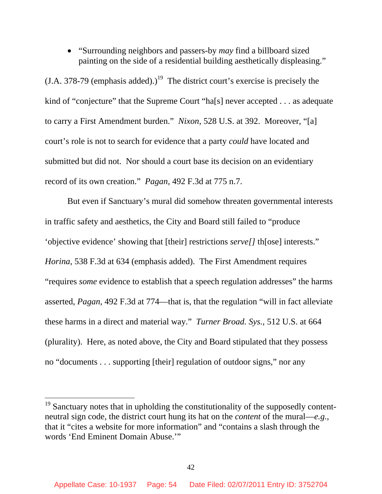• "Surrounding neighbors and passers-by *may* find a billboard sized painting on the side of a residential building aesthetically displeasing."

 $(LA. 378-79$  (emphasis added).)<sup>19</sup> The district court's exercise is precisely the kind of "conjecture" that the Supreme Court "ha[s] never accepted . . . as adequate to carry a First Amendment burden." *Nixon*, 528 U.S. at 392. Moreover, "[a] court's role is not to search for evidence that a party *could* have located and submitted but did not. Nor should a court base its decision on an evidentiary record of its own creation." *Pagan*, 492 F.3d at 775 n.7.

But even if Sanctuary's mural did somehow threaten governmental interests in traffic safety and aesthetics, the City and Board still failed to "produce 'objective evidence' showing that [their] restrictions *serve[]* th[ose] interests." *Horina*, 538 F.3d at 634 (emphasis added). The First Amendment requires "requires *some* evidence to establish that a speech regulation addresses" the harms asserted, *Pagan*, 492 F.3d at 774—that is, that the regulation "will in fact alleviate these harms in a direct and material way." *Turner Broad. Sys.*, 512 U.S. at 664 (plurality). Here, as noted above, the City and Board stipulated that they possess no "documents . . . supporting [their] regulation of outdoor signs," nor any

 $19$  Sanctuary notes that in upholding the constitutionality of the supposedly contentneutral sign code, the district court hung its hat on the *content* of the mural—*e.g.*, that it "cites a website for more information" and "contains a slash through the words 'End Eminent Domain Abuse.'"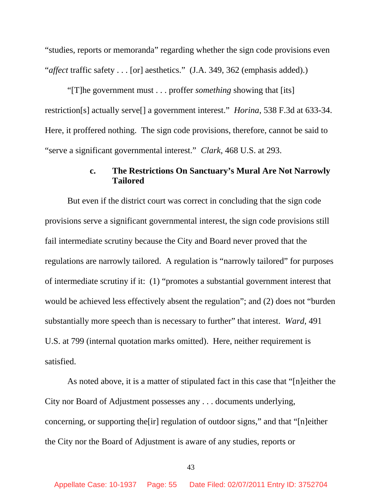"studies, reports or memoranda" regarding whether the sign code provisions even "*affect* traffic safety . . . [or] aesthetics." (J.A. 349, 362 (emphasis added).)

"[T]he government must . . . proffer *something* showing that [its] restriction[s] actually serve[] a government interest." *Horina*, 538 F.3d at 633-34. Here, it proffered nothing. The sign code provisions, therefore, cannot be said to "serve a significant governmental interest." *Clark*, 468 U.S. at 293.

### **c. The Restrictions On Sanctuary's Mural Are Not Narrowly Tailored**

But even if the district court was correct in concluding that the sign code provisions serve a significant governmental interest, the sign code provisions still fail intermediate scrutiny because the City and Board never proved that the regulations are narrowly tailored. A regulation is "narrowly tailored" for purposes of intermediate scrutiny if it: (1) "promotes a substantial government interest that would be achieved less effectively absent the regulation"; and (2) does not "burden substantially more speech than is necessary to further" that interest. *Ward*, 491 U.S. at 799 (internal quotation marks omitted). Here, neither requirement is satisfied.

As noted above, it is a matter of stipulated fact in this case that "[n]either the City nor Board of Adjustment possesses any . . . documents underlying, concerning, or supporting the[ir] regulation of outdoor signs," and that "[n]either the City nor the Board of Adjustment is aware of any studies, reports or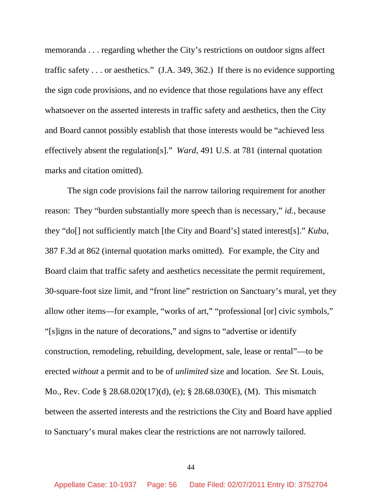memoranda . . . regarding whether the City's restrictions on outdoor signs affect traffic safety . . . or aesthetics." (J.A. 349, 362.) If there is no evidence supporting the sign code provisions, and no evidence that those regulations have any effect whatsoever on the asserted interests in traffic safety and aesthetics, then the City and Board cannot possibly establish that those interests would be "achieved less effectively absent the regulation[s]." *Ward*, 491 U.S. at 781 (internal quotation marks and citation omitted)*.* 

The sign code provisions fail the narrow tailoring requirement for another reason: They "burden substantially more speech than is necessary," *id.*, because they "do[] not sufficiently match [the City and Board's] stated interest[s]." *Kuba*, 387 F.3d at 862 (internal quotation marks omitted). For example, the City and Board claim that traffic safety and aesthetics necessitate the permit requirement, 30-square-foot size limit, and "front line" restriction on Sanctuary's mural, yet they allow other items—for example, "works of art," "professional [or] civic symbols," "[s]igns in the nature of decorations," and signs to "advertise or identify construction, remodeling, rebuilding, development, sale, lease or rental"—to be erected *without* a permit and to be of *unlimited* size and location. *See* St. Louis, Mo., Rev. Code § 28.68.020(17)(d), (e); § 28.68.030(E), (M). This mismatch between the asserted interests and the restrictions the City and Board have applied to Sanctuary's mural makes clear the restrictions are not narrowly tailored.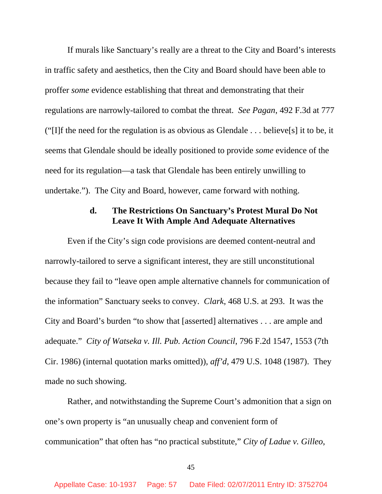If murals like Sanctuary's really are a threat to the City and Board's interests in traffic safety and aesthetics, then the City and Board should have been able to proffer *some* evidence establishing that threat and demonstrating that their regulations are narrowly-tailored to combat the threat. *See Pagan*, 492 F.3d at 777 ("I]f the need for the regulation is as obvious as Glendale  $\dots$  believe [s] it to be, it seems that Glendale should be ideally positioned to provide *some* evidence of the need for its regulation—a task that Glendale has been entirely unwilling to undertake."). The City and Board, however, came forward with nothing.

## **d. The Restrictions On Sanctuary's Protest Mural Do Not Leave It With Ample And Adequate Alternatives**

Even if the City's sign code provisions are deemed content-neutral and narrowly-tailored to serve a significant interest, they are still unconstitutional because they fail to "leave open ample alternative channels for communication of the information" Sanctuary seeks to convey. *Clark*, 468 U.S. at 293. It was the City and Board's burden "to show that [asserted] alternatives . . . are ample and adequate." *City of Watseka v. Ill. Pub. Action Council*, 796 F.2d 1547, 1553 (7th Cir. 1986) (internal quotation marks omitted)), *aff'd*, 479 U.S. 1048 (1987). They made no such showing.

Rather, and notwithstanding the Supreme Court's admonition that a sign on one's own property is "an unusually cheap and convenient form of communication" that often has "no practical substitute," *City of Ladue v. Gilleo*,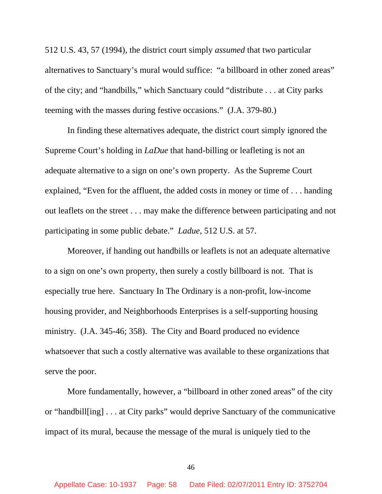512 U.S. 43, 57 (1994), the district court simply *assumed* that two particular alternatives to Sanctuary's mural would suffice: "a billboard in other zoned areas" of the city; and "handbills," which Sanctuary could "distribute . . . at City parks teeming with the masses during festive occasions." (J.A. 379-80.)

In finding these alternatives adequate, the district court simply ignored the Supreme Court's holding in *LaDue* that hand-billing or leafleting is not an adequate alternative to a sign on one's own property. As the Supreme Court explained, "Even for the affluent, the added costs in money or time of . . . handing out leaflets on the street . . . may make the difference between participating and not participating in some public debate." *Ladue*, 512 U.S. at 57.

Moreover, if handing out handbills or leaflets is not an adequate alternative to a sign on one's own property, then surely a costly billboard is not. That is especially true here. Sanctuary In The Ordinary is a non-profit, low-income housing provider, and Neighborhoods Enterprises is a self-supporting housing ministry. (J.A. 345-46; 358). The City and Board produced no evidence whatsoever that such a costly alternative was available to these organizations that serve the poor.

More fundamentally, however, a "billboard in other zoned areas" of the city or "handbill[ing] . . . at City parks" would deprive Sanctuary of the communicative impact of its mural, because the message of the mural is uniquely tied to the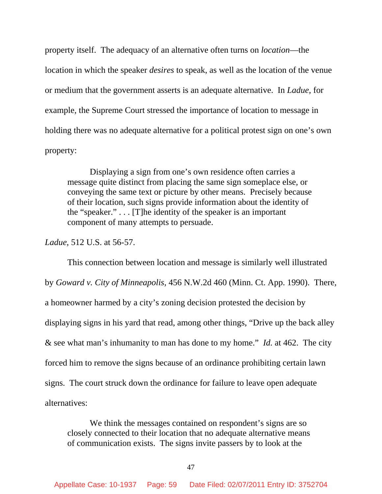property itself. The adequacy of an alternative often turns on *location*—the location in which the speaker *desires* to speak, as well as the location of the venue or medium that the government asserts is an adequate alternative. In *Ladue*, for example, the Supreme Court stressed the importance of location to message in holding there was no adequate alternative for a political protest sign on one's own property:

Displaying a sign from one's own residence often carries a message quite distinct from placing the same sign someplace else, or conveying the same text or picture by other means. Precisely because of their location, such signs provide information about the identity of the "speaker." . . . [T]he identity of the speaker is an important component of many attempts to persuade.

*Ladue*, 512 U.S. at 56-57.

This connection between location and message is similarly well illustrated by *Goward v. City of Minneapolis*, 456 N.W.2d 460 (Minn. Ct. App. 1990). There, a homeowner harmed by a city's zoning decision protested the decision by displaying signs in his yard that read, among other things, "Drive up the back alley & see what man's inhumanity to man has done to my home." *Id.* at 462. The city forced him to remove the signs because of an ordinance prohibiting certain lawn signs. The court struck down the ordinance for failure to leave open adequate alternatives:

We think the messages contained on respondent's signs are so closely connected to their location that no adequate alternative means of communication exists. The signs invite passers by to look at the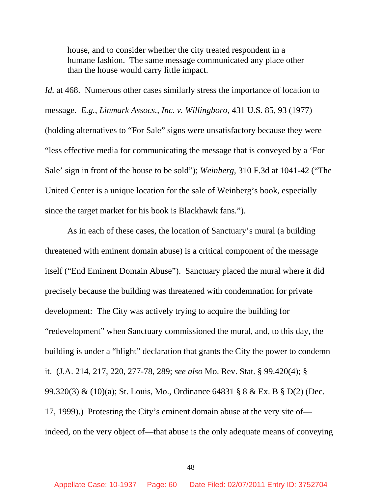house, and to consider whether the city treated respondent in a humane fashion. The same message communicated any place other than the house would carry little impact.

*Id.* at 468. Numerous other cases similarly stress the importance of location to message. *E.g.*, *Linmark Assocs., Inc. v. Willingboro*, 431 U.S. 85, 93 (1977) (holding alternatives to "For Sale" signs were unsatisfactory because they were "less effective media for communicating the message that is conveyed by a 'For Sale' sign in front of the house to be sold"); *Weinberg*, 310 F.3d at 1041-42 ("The United Center is a unique location for the sale of Weinberg's book, especially since the target market for his book is Blackhawk fans.").

As in each of these cases, the location of Sanctuary's mural (a building threatened with eminent domain abuse) is a critical component of the message itself ("End Eminent Domain Abuse"). Sanctuary placed the mural where it did precisely because the building was threatened with condemnation for private development: The City was actively trying to acquire the building for "redevelopment" when Sanctuary commissioned the mural, and, to this day, the building is under a "blight" declaration that grants the City the power to condemn it. (J.A. 214, 217, 220, 277-78, 289; *see also* Mo. Rev. Stat. § 99.420(4); § 99.320(3) & (10)(a); St. Louis, Mo., Ordinance 64831 § 8 & Ex. B § D(2) (Dec. 17, 1999).) Protesting the City's eminent domain abuse at the very site of indeed, on the very object of—that abuse is the only adequate means of conveying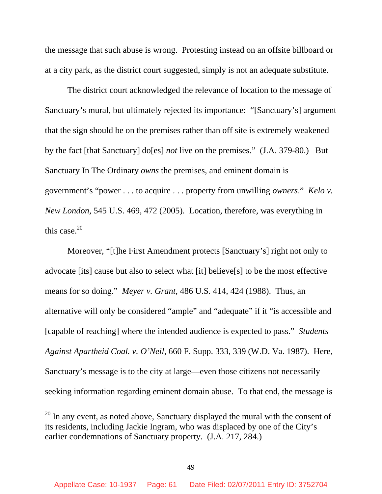the message that such abuse is wrong. Protesting instead on an offsite billboard or at a city park, as the district court suggested, simply is not an adequate substitute.

The district court acknowledged the relevance of location to the message of Sanctuary's mural, but ultimately rejected its importance: "[Sanctuary's] argument that the sign should be on the premises rather than off site is extremely weakened by the fact [that Sanctuary] do[es] *not* live on the premises." (J.A. 379-80.) But Sanctuary In The Ordinary *owns* the premises, and eminent domain is government's "power . . . to acquire . . . property from unwilling *owners*." *Kelo v. New London*, 545 U.S. 469, 472 (2005). Location, therefore, was everything in this case. $20$ 

Moreover, "[t]he First Amendment protects [Sanctuary's] right not only to advocate [its] cause but also to select what [it] believe[s] to be the most effective means for so doing." *Meyer v. Grant*, 486 U.S. 414, 424 (1988). Thus, an alternative will only be considered "ample" and "adequate" if it "is accessible and [capable of reaching] where the intended audience is expected to pass." *Students Against Apartheid Coal. v. O'Neil*, 660 F. Supp. 333, 339 (W.D. Va. 1987). Here, Sanctuary's message is to the city at large—even those citizens not necessarily seeking information regarding eminent domain abuse. To that end, the message is

 $20$  In any event, as noted above, Sanctuary displayed the mural with the consent of its residents, including Jackie Ingram, who was displaced by one of the City's earlier condemnations of Sanctuary property. (J.A. 217, 284.)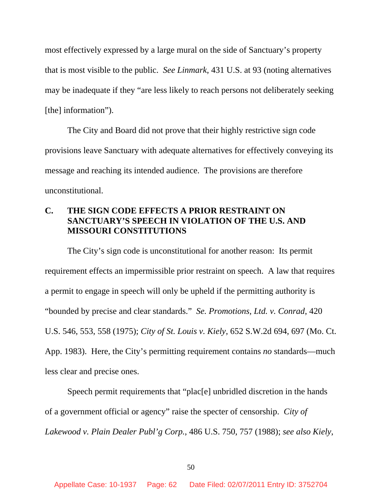most effectively expressed by a large mural on the side of Sanctuary's property that is most visible to the public. *See Linmark*, 431 U.S. at 93 (noting alternatives may be inadequate if they "are less likely to reach persons not deliberately seeking [the] information").

The City and Board did not prove that their highly restrictive sign code provisions leave Sanctuary with adequate alternatives for effectively conveying its message and reaching its intended audience. The provisions are therefore unconstitutional.

# **C. THE SIGN CODE EFFECTS A PRIOR RESTRAINT ON SANCTUARY'S SPEECH IN VIOLATION OF THE U.S. AND MISSOURI CONSTITUTIONS**

The City's sign code is unconstitutional for another reason: Its permit requirement effects an impermissible prior restraint on speech. A law that requires a permit to engage in speech will only be upheld if the permitting authority is "bounded by precise and clear standards." *Se. Promotions, Ltd. v. Conrad*, 420 U.S. 546, 553, 558 (1975); *City of St. Louis v. Kiely*, 652 S.W.2d 694, 697 (Mo. Ct. App. 1983). Here, the City's permitting requirement contains *no* standards—much less clear and precise ones.

Speech permit requirements that "plac[e] unbridled discretion in the hands of a government official or agency" raise the specter of censorship. *City of Lakewood v. Plain Dealer Publ'g Corp.*, 486 U.S. 750, 757 (1988); *see also Kiely*,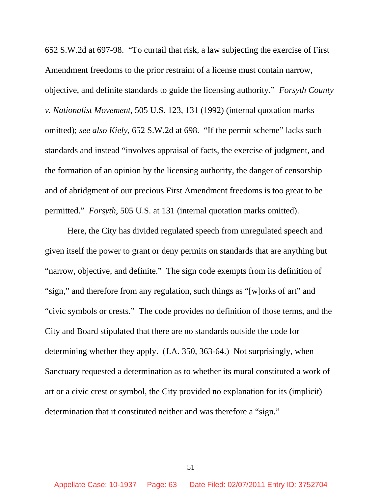652 S.W.2d at 697-98. "To curtail that risk, a law subjecting the exercise of First Amendment freedoms to the prior restraint of a license must contain narrow, objective, and definite standards to guide the licensing authority." *Forsyth County v. Nationalist Movement*, 505 U.S. 123, 131 (1992) (internal quotation marks omitted); *see also Kiely*, 652 S.W.2d at 698. "If the permit scheme" lacks such standards and instead "involves appraisal of facts, the exercise of judgment, and the formation of an opinion by the licensing authority, the danger of censorship and of abridgment of our precious First Amendment freedoms is too great to be permitted." *Forsyth*, 505 U.S. at 131 (internal quotation marks omitted).

Here, the City has divided regulated speech from unregulated speech and given itself the power to grant or deny permits on standards that are anything but "narrow, objective, and definite." The sign code exempts from its definition of "sign," and therefore from any regulation, such things as "[w]orks of art" and "civic symbols or crests." The code provides no definition of those terms, and the City and Board stipulated that there are no standards outside the code for determining whether they apply. (J.A. 350, 363-64.) Not surprisingly, when Sanctuary requested a determination as to whether its mural constituted a work of art or a civic crest or symbol, the City provided no explanation for its (implicit) determination that it constituted neither and was therefore a "sign."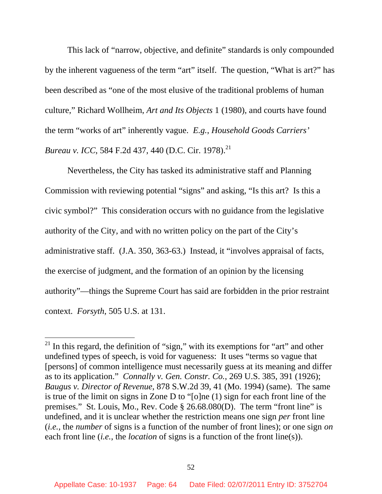This lack of "narrow, objective, and definite" standards is only compounded by the inherent vagueness of the term "art" itself. The question, "What is art?" has been described as "one of the most elusive of the traditional problems of human culture," Richard Wollheim, *Art and Its Objects* 1 (1980), and courts have found the term "works of art" inherently vague. *E.g.*, *Household Goods Carriers' Bureau v. ICC*, 584 F.2d 437, 440 (D.C. Cir. 1978).<sup>21</sup>

Nevertheless, the City has tasked its administrative staff and Planning Commission with reviewing potential "signs" and asking, "Is this art? Is this a civic symbol?" This consideration occurs with no guidance from the legislative authority of the City, and with no written policy on the part of the City's administrative staff. (J.A. 350, 363-63.) Instead, it "involves appraisal of facts, the exercise of judgment, and the formation of an opinion by the licensing authority"—things the Supreme Court has said are forbidden in the prior restraint context. *Forsyth*, 505 U.S. at 131.

 $2<sup>1</sup>$  In this regard, the definition of "sign," with its exemptions for "art" and other undefined types of speech, is void for vagueness: It uses "terms so vague that [persons] of common intelligence must necessarily guess at its meaning and differ as to its application." *Connally v. Gen. Constr. Co.*, 269 U.S. 385, 391 (1926); *Baugus v. Director of Revenue*, 878 S.W.2d 39, 41 (Mo. 1994) (same). The same is true of the limit on signs in Zone D to "[o]ne (1) sign for each front line of the premises." St. Louis, Mo., Rev. Code § 26.68.080(D). The term "front line" is undefined, and it is unclear whether the restriction means one sign *per* front line (*i.e.*, the *number* of signs is a function of the number of front lines); or one sign *on* each front line (*i.e.*, the *location* of signs is a function of the front line(s)).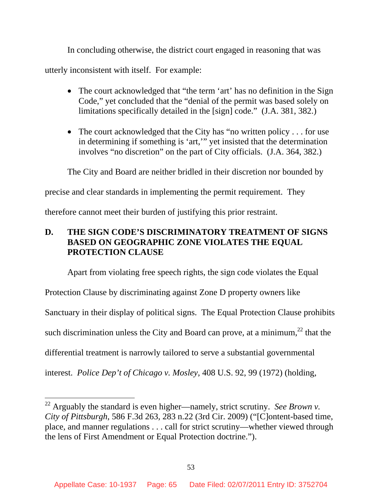In concluding otherwise, the district court engaged in reasoning that was

utterly inconsistent with itself. For example:

 $\overline{a}$ 

- The court acknowledged that "the term 'art' has no definition in the Sign Code," yet concluded that the "denial of the permit was based solely on limitations specifically detailed in the [sign] code." (J.A. 381, 382.)
- The court acknowledged that the City has "no written policy . . . for use in determining if something is 'art,'" yet insisted that the determination involves "no discretion" on the part of City officials. (J.A. 364, 382.)

The City and Board are neither bridled in their discretion nor bounded by

precise and clear standards in implementing the permit requirement. They

therefore cannot meet their burden of justifying this prior restraint.

# **D. THE SIGN CODE'S DISCRIMINATORY TREATMENT OF SIGNS BASED ON GEOGRAPHIC ZONE VIOLATES THE EQUAL PROTECTION CLAUSE**

Apart from violating free speech rights, the sign code violates the Equal Protection Clause by discriminating against Zone D property owners like Sanctuary in their display of political signs. The Equal Protection Clause prohibits such discrimination unless the City and Board can prove, at a minimum, $^{22}$  that the differential treatment is narrowly tailored to serve a substantial governmental interest. *Police Dep't of Chicago v. Mosley*, 408 U.S. 92, 99 (1972) (holding,

<sup>&</sup>lt;sup>22</sup> Arguably the standard is even higher—namely, strict scrutiny. *See Brown v*. *City of Pittsburgh*, 586 F.3d 263, 283 n.22 (3rd Cir. 2009) ("[C]ontent-based time, place, and manner regulations . . . call for strict scrutiny—whether viewed through the lens of First Amendment or Equal Protection doctrine.").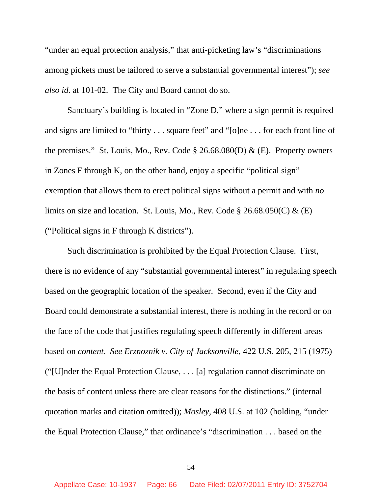"under an equal protection analysis," that anti-picketing law's "discriminations among pickets must be tailored to serve a substantial governmental interest"); *see also id.* at 101-02. The City and Board cannot do so.

Sanctuary's building is located in "Zone D," where a sign permit is required and signs are limited to "thirty . . . square feet" and "[o]ne . . . for each front line of the premises." St. Louis, Mo., Rev. Code  $\S 26.68.080(D) \& (E)$ . Property owners in Zones F through K, on the other hand, enjoy a specific "political sign" exemption that allows them to erect political signs without a permit and with *no* limits on size and location. St. Louis, Mo., Rev. Code  $\S 26.68.050(C) \& (E)$ ("Political signs in F through K districts").

Such discrimination is prohibited by the Equal Protection Clause. First, there is no evidence of any "substantial governmental interest" in regulating speech based on the geographic location of the speaker. Second, even if the City and Board could demonstrate a substantial interest, there is nothing in the record or on the face of the code that justifies regulating speech differently in different areas based on *content*. *See Erznoznik v. City of Jacksonville*, 422 U.S. 205, 215 (1975) ("[U]nder the Equal Protection Clause, . . . [a] regulation cannot discriminate on the basis of content unless there are clear reasons for the distinctions." (internal quotation marks and citation omitted)); *Mosley*, 408 U.S. at 102 (holding, "under the Equal Protection Clause," that ordinance's "discrimination . . . based on the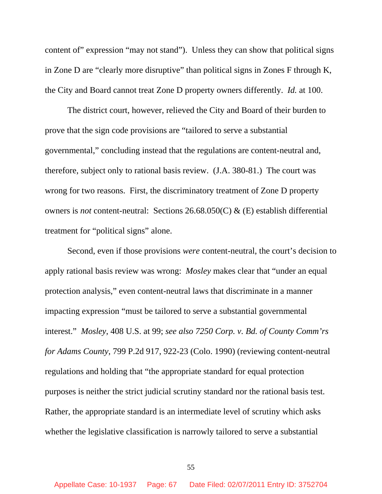content of" expression "may not stand"). Unless they can show that political signs in Zone D are "clearly more disruptive" than political signs in Zones F through K, the City and Board cannot treat Zone D property owners differently. *Id.* at 100.

The district court, however, relieved the City and Board of their burden to prove that the sign code provisions are "tailored to serve a substantial governmental," concluding instead that the regulations are content-neutral and, therefore, subject only to rational basis review. (J.A. 380-81.) The court was wrong for two reasons. First, the discriminatory treatment of Zone D property owners is *not* content-neutral: Sections 26.68.050(C) & (E) establish differential treatment for "political signs" alone.

Second, even if those provisions *were* content-neutral, the court's decision to apply rational basis review was wrong: *Mosley* makes clear that "under an equal protection analysis," even content-neutral laws that discriminate in a manner impacting expression "must be tailored to serve a substantial governmental interest." *Mosley*, 408 U.S. at 99; *see also 7250 Corp. v. Bd. of County Comm'rs for Adams County*, 799 P.2d 917, 922-23 (Colo. 1990) (reviewing content-neutral regulations and holding that "the appropriate standard for equal protection purposes is neither the strict judicial scrutiny standard nor the rational basis test. Rather, the appropriate standard is an intermediate level of scrutiny which asks whether the legislative classification is narrowly tailored to serve a substantial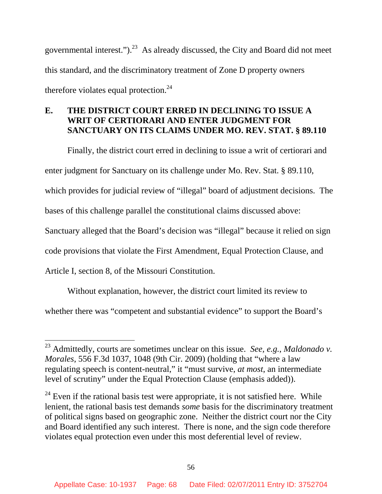governmental interest.").<sup>23</sup> As already discussed, the City and Board did not meet this standard, and the discriminatory treatment of Zone D property owners therefore violates equal protection. $24$ 

# **E. THE DISTRICT COURT ERRED IN DECLINING TO ISSUE A WRIT OF CERTIORARI AND ENTER JUDGMENT FOR SANCTUARY ON ITS CLAIMS UNDER MO. REV. STAT. § 89.110**

Finally, the district court erred in declining to issue a writ of certiorari and enter judgment for Sanctuary on its challenge under Mo. Rev. Stat. § 89.110, which provides for judicial review of "illegal" board of adjustment decisions. The bases of this challenge parallel the constitutional claims discussed above: Sanctuary alleged that the Board's decision was "illegal" because it relied on sign code provisions that violate the First Amendment, Equal Protection Clause, and Article I, section 8, of the Missouri Constitution.

Without explanation, however, the district court limited its review to whether there was "competent and substantial evidence" to support the Board's

<sup>23</sup> Admittedly, courts are sometimes unclear on this issue. *See, e.g.*, *Maldonado v. Morales*, 556 F.3d 1037, 1048 (9th Cir. 2009) (holding that "where a law regulating speech is content-neutral," it "must survive, *at most*, an intermediate level of scrutiny" under the Equal Protection Clause (emphasis added)).

 $24$  Even if the rational basis test were appropriate, it is not satisfied here. While lenient, the rational basis test demands *some* basis for the discriminatory treatment of political signs based on geographic zone. Neither the district court nor the City and Board identified any such interest. There is none, and the sign code therefore violates equal protection even under this most deferential level of review.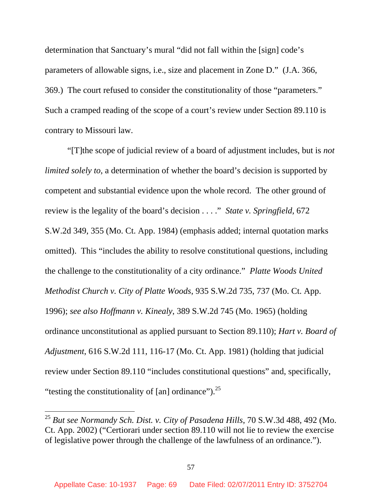determination that Sanctuary's mural "did not fall within the [sign] code's parameters of allowable signs, i.e., size and placement in Zone D." (J.A. 366, 369.) The court refused to consider the constitutionality of those "parameters." Such a cramped reading of the scope of a court's review under Section 89.110 is contrary to Missouri law.

"[T]the scope of judicial review of a board of adjustment includes, but is *not limited solely to*, a determination of whether the board's decision is supported by competent and substantial evidence upon the whole record. The other ground of review is the legality of the board's decision . . . ." *State v. Springfield*, 672 S.W.2d 349, 355 (Mo. Ct. App. 1984) (emphasis added; internal quotation marks omitted). This "includes the ability to resolve constitutional questions, including the challenge to the constitutionality of a city ordinance." *Platte Woods United Methodist Church v. City of Platte Woods*, 935 S.W.2d 735, 737 (Mo. Ct. App. 1996); *see also Hoffmann v. Kinealy*, 389 S.W.2d 745 (Mo. 1965) (holding ordinance unconstitutional as applied pursuant to Section 89.110); *Hart v. Board of Adjustment*, 616 S.W.2d 111, 116-17 (Mo. Ct. App. 1981) (holding that judicial review under Section 89.110 "includes constitutional questions" and, specifically, "testing the constitutionality of  $\lceil$ an $\rceil$  ordinance").<sup>25</sup>

<sup>25</sup> *But see Normandy Sch. Dist. v. City of Pasadena Hills*, 70 S.W.3d 488, 492 (Mo. Ct. App. 2002) ("Certiorari under section 89.110 will not lie to review the exercise of legislative power through the challenge of the lawfulness of an ordinance.").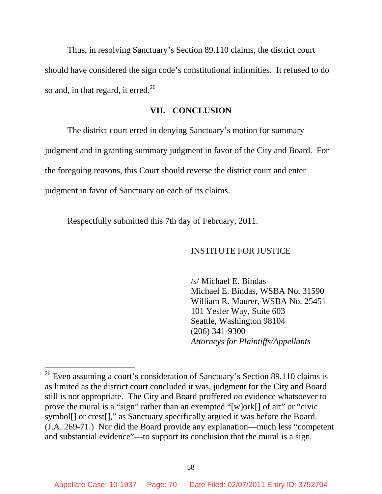Thus, in resolving Sanctuary's Section 89.110 claims, the district court should have considered the sign code's constitutional infirmities. It refused to do so and, in that regard, it erred.<sup>26</sup>

### **VII. CONCLUSION**

The district court erred in denying Sanctuary's motion for summary judgment and in granting summary judgment in favor of the City and Board. For the foregoing reasons, this Court should reverse the district court and enter

judgment in favor of Sanctuary on each of its claims.

 $\overline{a}$ 

Respectfully submitted this 7th day of February, 2011.

#### INSTITUTE FOR JUSTICE

/s/ Michael E. Bindas Michael E. Bindas, WSBA No. 31590 William R. Maurer, WSBA No. 25451 101 Yesler Way, Suite 603 Seattle, Washington 98104 (206) 341-9300 *Attorneys for Plaintiffs/Appellants*

 $26$  Even assuming a court's consideration of Sanctuary's Section 89.110 claims is as limited as the district court concluded it was, judgment for the City and Board still is not appropriate. The City and Board proffered *no* evidence whatsoever to prove the mural is a "sign" rather than an exempted "[w]ork[] of art" or "civic symbol<sup>[]</sup> or crest<sup>[]</sup>," as Sanctuary specifically argued it was before the Board. (J.A. 269-71.) Nor did the Board provide any explanation—much less "competent and substantial evidence"—to support its conclusion that the mural is a sign.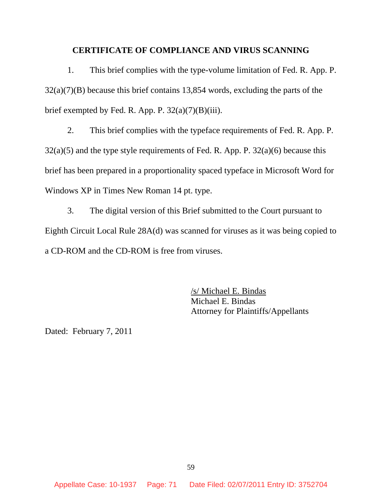#### **CERTIFICATE OF COMPLIANCE AND VIRUS SCANNING**

1. This brief complies with the type-volume limitation of Fed. R. App. P. 32(a)(7)(B) because this brief contains 13,854 words, excluding the parts of the brief exempted by Fed. R. App. P.  $32(a)(7)(B)(iii)$ .

2. This brief complies with the typeface requirements of Fed. R. App. P.  $32(a)(5)$  and the type style requirements of Fed. R. App. P.  $32(a)(6)$  because this brief has been prepared in a proportionality spaced typeface in Microsoft Word for Windows XP in Times New Roman 14 pt. type.

3. The digital version of this Brief submitted to the Court pursuant to Eighth Circuit Local Rule 28A(d) was scanned for viruses as it was being copied to a CD-ROM and the CD-ROM is free from viruses.

> /s/ Michael E. Bindas Michael E. Bindas Attorney for Plaintiffs/Appellants

Dated: February 7, 2011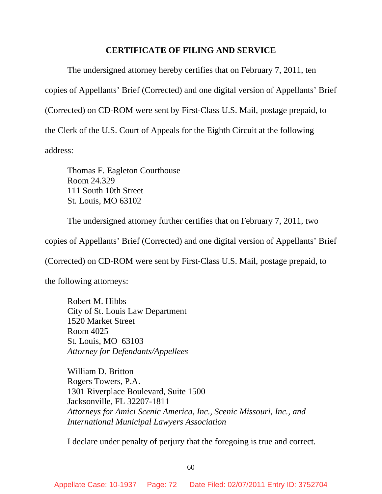## **CERTIFICATE OF FILING AND SERVICE**

The undersigned attorney hereby certifies that on February 7, 2011, ten copies of Appellants' Brief (Corrected) and one digital version of Appellants' Brief (Corrected) on CD-ROM were sent by First-Class U.S. Mail, postage prepaid, to the Clerk of the U.S. Court of Appeals for the Eighth Circuit at the following address:

Thomas F. Eagleton Courthouse Room 24.329 111 South 10th Street St. Louis, MO 63102

The undersigned attorney further certifies that on February 7, 2011, two

copies of Appellants' Brief (Corrected) and one digital version of Appellants' Brief

(Corrected) on CD-ROM were sent by First-Class U.S. Mail, postage prepaid, to

the following attorneys:

 Robert M. Hibbs City of St. Louis Law Department 1520 Market Street Room 4025 St. Louis, MO 63103 *Attorney for Defendants/Appellees* 

William D. Britton Rogers Towers, P.A. 1301 Riverplace Boulevard, Suite 1500 Jacksonville, FL 32207-1811 *Attorneys for Amici Scenic America, Inc., Scenic Missouri, Inc., and International Municipal Lawyers Association* 

I declare under penalty of perjury that the foregoing is true and correct.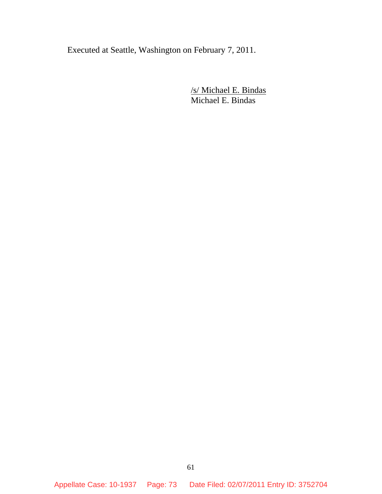Executed at Seattle, Washington on February 7, 2011.

/s/ Michael E. Bindas Michael E. Bindas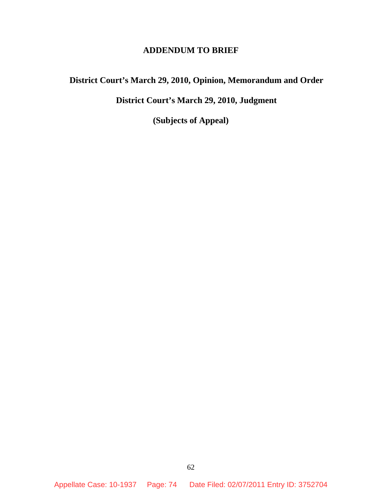## **ADDENDUM TO BRIEF**

# **District Court's March 29, 2010, Opinion, Memorandum and Order**

# **District Court's March 29, 2010, Judgment**

**(Subjects of Appeal)** 

Appellate Case: 10-1937 Page: 74 Date Filed: 02/07/2011 Entry ID: 3752704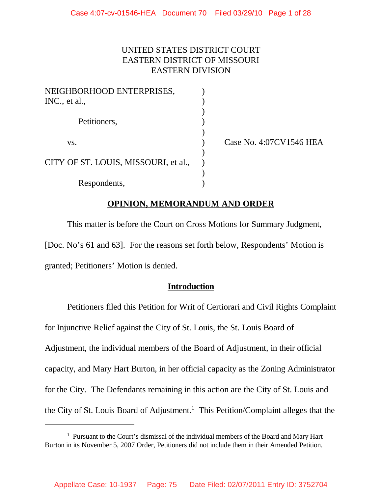## UNITED STATES DISTRICT COURT EASTERN DISTRICT OF MISSOURI EASTERN DIVISION

| NEIGHBORHOOD ENTERPRISES,            |  |
|--------------------------------------|--|
| INC., et al.,                        |  |
|                                      |  |
| Petitioners,                         |  |
|                                      |  |
| VS.                                  |  |
|                                      |  |
| CITY OF ST. LOUIS, MISSOURI, et al., |  |
|                                      |  |
| Respondents,                         |  |

Case No. 4:07CV1546 HEA

## **OPINION, MEMORANDUM AND ORDER**

This matter is before the Court on Cross Motions for Summary Judgment, [Doc. No's 61 and 63]. For the reasons set forth below, Respondents' Motion is granted; Petitioners' Motion is denied.

## **Introduction**

Petitioners filed this Petition for Writ of Certiorari and Civil Rights Complaint for Injunctive Relief against the City of St. Louis, the St. Louis Board of Adjustment, the individual members of the Board of Adjustment, in their official capacity, and Mary Hart Burton, in her official capacity as the Zoning Administrator for the City. The Defendants remaining in this action are the City of St. Louis and the City of St. Louis Board of Adjustment.<sup>1</sup> This Petition/Complaint alleges that the

<sup>&</sup>lt;sup>1</sup> Pursuant to the Court's dismissal of the individual members of the Board and Mary Hart Burton in its November 5, 2007 Order, Petitioners did not include them in their Amended Petition.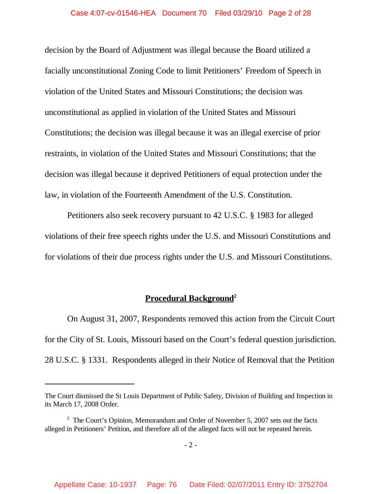decision by the Board of Adjustment was illegal because the Board utilized a facially unconstitutional Zoning Code to limit Petitioners' Freedom of Speech in violation of the United States and Missouri Constitutions; the decision was unconstitutional as applied in violation of the United States and Missouri Constitutions; the decision was illegal because it was an illegal exercise of prior restraints, in violation of the United States and Missouri Constitutions; that the decision was illegal because it deprived Petitioners of equal protection under the law, in violation of the Fourteenth Amendment of the U.S. Constitution.

Petitioners also seek recovery pursuant to 42 U.S.C. § 1983 for alleged violations of their free speech rights under the U.S. and Missouri Constitutions and for violations of their due process rights under the U.S. and Missouri Constitutions.

## **Procedural Background<sup>2</sup>**

On August 31, 2007, Respondents removed this action from the Circuit Court for the City of St. Louis, Missouri based on the Court's federal question jurisdiction. 28 U.S.C. § 1331. Respondents alleged in their Notice of Removal that the Petition

The Court dismissed the St Louis Department of Public Safety, Division of Building and Inspection in its March 17, 2008 Order.

 $2^2$  The Court's Opinion, Memorandum and Order of November 5, 2007 sets out the facts alleged in Petitioners' Petition, and therefore all of the alleged facts will not be repeated herein.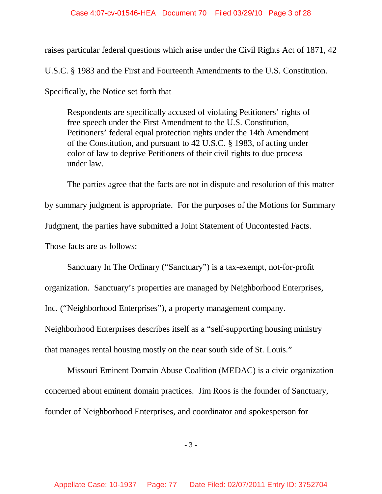### Case 4:07-cv-01546-HEA Document 70 Filed 03/29/10 Page 3 of 28

raises particular federal questions which arise under the Civil Rights Act of 1871, 42

U.S.C. § 1983 and the First and Fourteenth Amendments to the U.S. Constitution.

Specifically, the Notice set forth that

Respondents are specifically accused of violating Petitioners' rights of free speech under the First Amendment to the U.S. Constitution, Petitioners' federal equal protection rights under the 14th Amendment of the Constitution, and pursuant to 42 U.S.C. § 1983, of acting under color of law to deprive Petitioners of their civil rights to due process under law.

The parties agree that the facts are not in dispute and resolution of this matter by summary judgment is appropriate. For the purposes of the Motions for Summary Judgment, the parties have submitted a Joint Statement of Uncontested Facts. Those facts are as follows:

Sanctuary In The Ordinary ("Sanctuary") is a tax-exempt, not-for-profit organization. Sanctuary's properties are managed by Neighborhood Enterprises, Inc. ("Neighborhood Enterprises"), a property management company. Neighborhood Enterprises describes itself as a "self-supporting housing ministry that manages rental housing mostly on the near south side of St. Louis."

Missouri Eminent Domain Abuse Coalition (MEDAC) is a civic organization concerned about eminent domain practices. Jim Roos is the founder of Sanctuary, founder of Neighborhood Enterprises, and coordinator and spokesperson for

- 3 -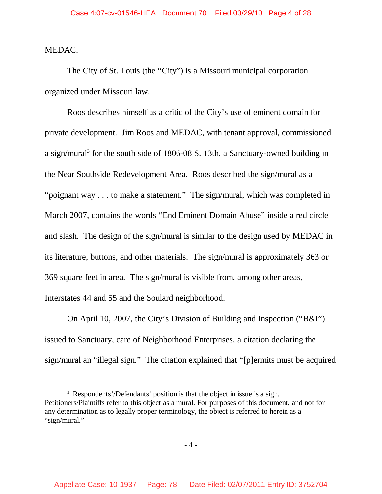MEDAC.

The City of St. Louis (the "City") is a Missouri municipal corporation organized under Missouri law.

Roos describes himself as a critic of the City's use of eminent domain for private development. Jim Roos and MEDAC, with tenant approval, commissioned a sign/mural<sup>3</sup> for the south side of 1806-08 S. 13th, a Sanctuary-owned building in the Near Southside Redevelopment Area. Roos described the sign/mural as a "poignant way . . . to make a statement." The sign/mural, which was completed in March 2007, contains the words "End Eminent Domain Abuse" inside a red circle and slash. The design of the sign/mural is similar to the design used by MEDAC in its literature, buttons, and other materials. The sign/mural is approximately 363 or 369 square feet in area. The sign/mural is visible from, among other areas, Interstates 44 and 55 and the Soulard neighborhood.

On April 10, 2007, the City's Division of Building and Inspection ("B&I") issued to Sanctuary, care of Neighborhood Enterprises, a citation declaring the sign/mural an "illegal sign." The citation explained that "[p]ermits must be acquired

<sup>&</sup>lt;sup>3</sup> Respondents'/Defendants' position is that the object in issue is a sign. Petitioners/Plaintiffs refer to this object as a mural. For purposes of this document, and not for any determination as to legally proper terminology, the object is referred to herein as a "sign/mural."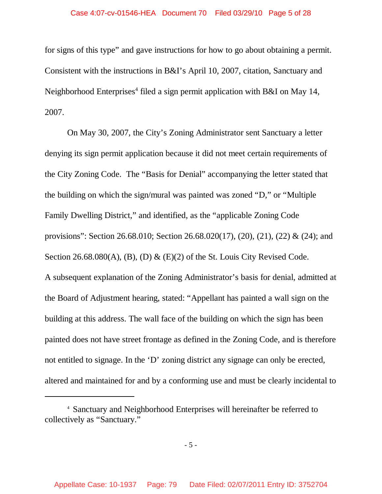### Case 4:07-cv-01546-HEA Document 70 Filed 03/29/10 Page 5 of 28

for signs of this type" and gave instructions for how to go about obtaining a permit. Consistent with the instructions in B&I's April 10, 2007, citation, Sanctuary and Neighborhood Enterprises<sup>4</sup> filed a sign permit application with B&I on May 14, 2007.

On May 30, 2007, the City's Zoning Administrator sent Sanctuary a letter denying its sign permit application because it did not meet certain requirements of the City Zoning Code. The "Basis for Denial" accompanying the letter stated that the building on which the sign/mural was painted was zoned "D," or "Multiple Family Dwelling District," and identified, as the "applicable Zoning Code provisions": Section 26.68.010; Section 26.68.020(17), (20), (21), (22) & (24); and Section 26.68.080(A), (B), (D) & (E)(2) of the St. Louis City Revised Code. A subsequent explanation of the Zoning Administrator's basis for denial, admitted at the Board of Adjustment hearing, stated: "Appellant has painted a wall sign on the building at this address. The wall face of the building on which the sign has been painted does not have street frontage as defined in the Zoning Code, and is therefore not entitled to signage. In the 'D' zoning district any signage can only be erected, altered and maintained for and by a conforming use and must be clearly incidental to

<sup>4</sup> Sanctuary and Neighborhood Enterprises will hereinafter be referred to collectively as "Sanctuary."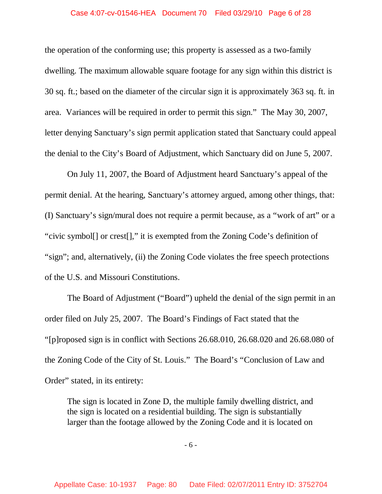### Case 4:07-cv-01546-HEA Document 70 Filed 03/29/10 Page 6 of 28

the operation of the conforming use; this property is assessed as a two-family dwelling. The maximum allowable square footage for any sign within this district is 30 sq. ft.; based on the diameter of the circular sign it is approximately 363 sq. ft. in area. Variances will be required in order to permit this sign." The May 30, 2007, letter denying Sanctuary's sign permit application stated that Sanctuary could appeal the denial to the City's Board of Adjustment, which Sanctuary did on June 5, 2007.

On July 11, 2007, the Board of Adjustment heard Sanctuary's appeal of the permit denial. At the hearing, Sanctuary's attorney argued, among other things, that: (I) Sanctuary's sign/mural does not require a permit because, as a "work of art" or a "civic symbol[] or crest[]," it is exempted from the Zoning Code's definition of "sign"; and, alternatively, (ii) the Zoning Code violates the free speech protections of the U.S. and Missouri Constitutions.

The Board of Adjustment ("Board") upheld the denial of the sign permit in an order filed on July 25, 2007. The Board's Findings of Fact stated that the "[p]roposed sign is in conflict with Sections 26.68.010, 26.68.020 and 26.68.080 of the Zoning Code of the City of St. Louis." The Board's "Conclusion of Law and Order" stated, in its entirety:

The sign is located in Zone D, the multiple family dwelling district, and the sign is located on a residential building. The sign is substantially larger than the footage allowed by the Zoning Code and it is located on

- 6 -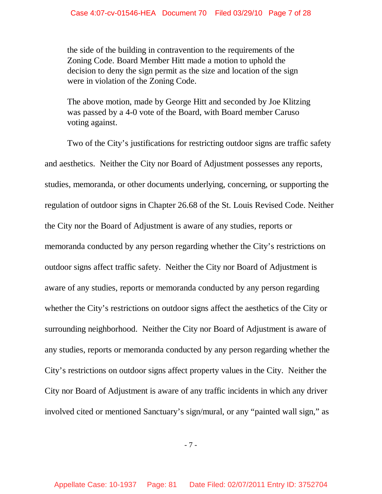the side of the building in contravention to the requirements of the Zoning Code. Board Member Hitt made a motion to uphold the decision to deny the sign permit as the size and location of the sign were in violation of the Zoning Code.

The above motion, made by George Hitt and seconded by Joe Klitzing was passed by a 4-0 vote of the Board, with Board member Caruso voting against.

Two of the City's justifications for restricting outdoor signs are traffic safety and aesthetics. Neither the City nor Board of Adjustment possesses any reports, studies, memoranda, or other documents underlying, concerning, or supporting the regulation of outdoor signs in Chapter 26.68 of the St. Louis Revised Code. Neither the City nor the Board of Adjustment is aware of any studies, reports or memoranda conducted by any person regarding whether the City's restrictions on outdoor signs affect traffic safety. Neither the City nor Board of Adjustment is aware of any studies, reports or memoranda conducted by any person regarding whether the City's restrictions on outdoor signs affect the aesthetics of the City or surrounding neighborhood. Neither the City nor Board of Adjustment is aware of any studies, reports or memoranda conducted by any person regarding whether the City's restrictions on outdoor signs affect property values in the City. Neither the City nor Board of Adjustment is aware of any traffic incidents in which any driver involved cited or mentioned Sanctuary's sign/mural, or any "painted wall sign," as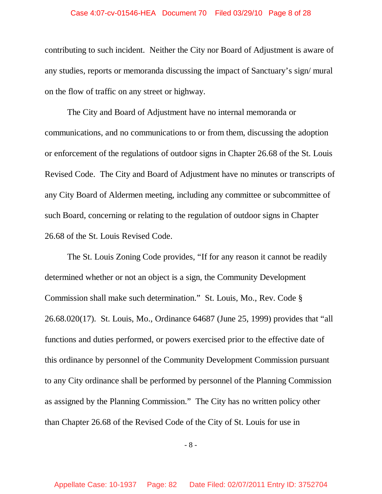### Case 4:07-cv-01546-HEA Document 70 Filed 03/29/10 Page 8 of 28

contributing to such incident. Neither the City nor Board of Adjustment is aware of any studies, reports or memoranda discussing the impact of Sanctuary's sign/ mural on the flow of traffic on any street or highway.

The City and Board of Adjustment have no internal memoranda or communications, and no communications to or from them, discussing the adoption or enforcement of the regulations of outdoor signs in Chapter 26.68 of the St. Louis Revised Code. The City and Board of Adjustment have no minutes or transcripts of any City Board of Aldermen meeting, including any committee or subcommittee of such Board, concerning or relating to the regulation of outdoor signs in Chapter 26.68 of the St. Louis Revised Code.

The St. Louis Zoning Code provides, "If for any reason it cannot be readily determined whether or not an object is a sign, the Community Development Commission shall make such determination." St. Louis, Mo., Rev. Code § 26.68.020(17). St. Louis, Mo., Ordinance 64687 (June 25, 1999) provides that "all functions and duties performed, or powers exercised prior to the effective date of this ordinance by personnel of the Community Development Commission pursuant to any City ordinance shall be performed by personnel of the Planning Commission as assigned by the Planning Commission." The City has no written policy other than Chapter 26.68 of the Revised Code of the City of St. Louis for use in

- 8 -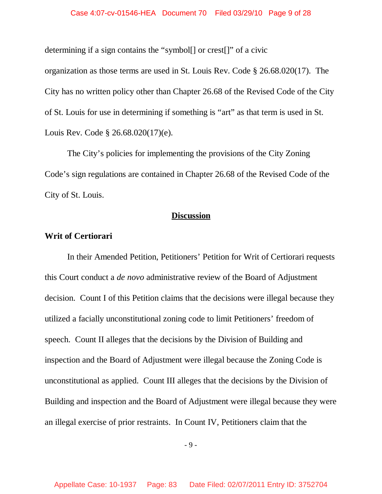determining if a sign contains the "symbol[] or crest[]" of a civic organization as those terms are used in St. Louis Rev. Code § 26.68.020(17). The City has no written policy other than Chapter 26.68 of the Revised Code of the City of St. Louis for use in determining if something is "art" as that term is used in St. Louis Rev. Code § 26.68.020(17)(e).

The City's policies for implementing the provisions of the City Zoning Code's sign regulations are contained in Chapter 26.68 of the Revised Code of the City of St. Louis.

## **Discussion**

## **Writ of Certiorari**

In their Amended Petition, Petitioners' Petition for Writ of Certiorari requests this Court conduct a *de novo* administrative review of the Board of Adjustment decision. Count I of this Petition claims that the decisions were illegal because they utilized a facially unconstitutional zoning code to limit Petitioners' freedom of speech. Count II alleges that the decisions by the Division of Building and inspection and the Board of Adjustment were illegal because the Zoning Code is unconstitutional as applied. Count III alleges that the decisions by the Division of Building and inspection and the Board of Adjustment were illegal because they were an illegal exercise of prior restraints. In Count IV, Petitioners claim that the

- 9 -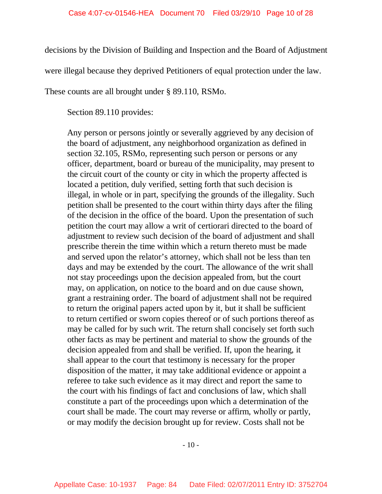decisions by the Division of Building and Inspection and the Board of Adjustment

were illegal because they deprived Petitioners of equal protection under the law.

These counts are all brought under § 89.110, RSMo.

Section 89.110 provides:

Any person or persons jointly or severally aggrieved by any decision of the board of adjustment, any neighborhood organization as defined in section 32.105, RSMo, representing such person or persons or any officer, department, board or bureau of the municipality, may present to the circuit court of the county or city in which the property affected is located a petition, duly verified, setting forth that such decision is illegal, in whole or in part, specifying the grounds of the illegality. Such petition shall be presented to the court within thirty days after the filing of the decision in the office of the board. Upon the presentation of such petition the court may allow a writ of certiorari directed to the board of adjustment to review such decision of the board of adjustment and shall prescribe therein the time within which a return thereto must be made and served upon the relator's attorney, which shall not be less than ten days and may be extended by the court. The allowance of the writ shall not stay proceedings upon the decision appealed from, but the court may, on application, on notice to the board and on due cause shown, grant a restraining order. The board of adjustment shall not be required to return the original papers acted upon by it, but it shall be sufficient to return certified or sworn copies thereof or of such portions thereof as may be called for by such writ. The return shall concisely set forth such other facts as may be pertinent and material to show the grounds of the decision appealed from and shall be verified. If, upon the hearing, it shall appear to the court that testimony is necessary for the proper disposition of the matter, it may take additional evidence or appoint a referee to take such evidence as it may direct and report the same to the court with his findings of fact and conclusions of law, which shall constitute a part of the proceedings upon which a determination of the court shall be made. The court may reverse or affirm, wholly or partly, or may modify the decision brought up for review. Costs shall not be

 $-10-$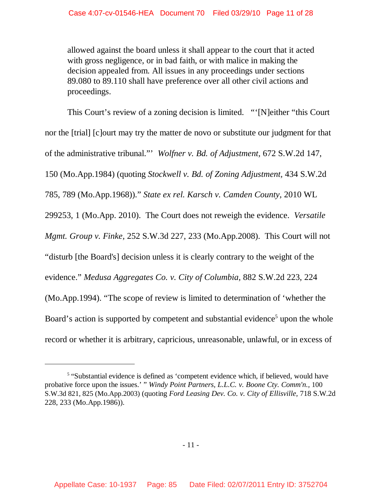allowed against the board unless it shall appear to the court that it acted with gross negligence, or in bad faith, or with malice in making the decision appealed from. All issues in any proceedings under sections 89.080 to 89.110 shall have preference over all other civil actions and proceedings.

This Court's review of a zoning decision is limited. "'[N]either "this Court nor the [trial] [c]ourt may try the matter de novo or substitute our judgment for that of the administrative tribunal."' *Wolfner v. Bd. of Adjustment,* 672 S.W.2d 147, 150 (Mo.App.1984) (quoting *Stockwell v. Bd. of Zoning Adjustment,* 434 S.W.2d 785, 789 (Mo.App.1968))." *State ex rel. Karsch v. Camden County,* 2010 WL 299253, 1 (Mo.App. 2010). The Court does not reweigh the evidence. *Versatile Mgmt. Group v. Finke,* 252 S.W.3d 227, 233 (Mo.App.2008). This Court will not "disturb [the Board's] decision unless it is clearly contrary to the weight of the evidence." *Medusa Aggregates Co. v. City of Columbia,* 882 S.W.2d 223, 224 (Mo.App.1994). "The scope of review is limited to determination of 'whether the Board's action is supported by competent and substantial evidence<sup>5</sup> upon the whole record or whether it is arbitrary, capricious, unreasonable, unlawful, or in excess of

<sup>&</sup>lt;sup>5</sup> "Substantial evidence is defined as 'competent evidence which, if believed, would have probative force upon the issues.' " *Windy Point Partners, L.L.C. v. Boone Cty. Comm'n.,* 100 S.W.3d 821, 825 (Mo.App.2003) (quoting *Ford Leasing Dev. Co. v. City of Ellisville,* 718 S.W.2d 228, 233 (Mo.App.1986)).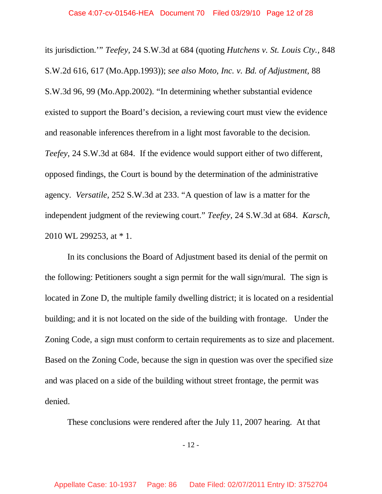its jurisdiction.'" *Teefey,* 24 S.W.3d at 684 (quoting *Hutchens v. St. Louis Cty.,* 848 S.W.2d 616, 617 (Mo.App.1993)); *see also Moto, Inc. v. Bd. of Adjustment,* 88 S.W.3d 96, 99 (Mo.App.2002). "In determining whether substantial evidence existed to support the Board's decision, a reviewing court must view the evidence and reasonable inferences therefrom in a light most favorable to the decision. *Teefey,* 24 S.W.3d at 684. If the evidence would support either of two different, opposed findings, the Court is bound by the determination of the administrative agency. *Versatile,* 252 S.W.3d at 233. "A question of law is a matter for the independent judgment of the reviewing court." *Teefey,* 24 S.W.3d at 684. *Karsch,* 2010 WL 299253, at \* 1.

In its conclusions the Board of Adjustment based its denial of the permit on the following: Petitioners sought a sign permit for the wall sign/mural. The sign is located in Zone D, the multiple family dwelling district; it is located on a residential building; and it is not located on the side of the building with frontage. Under the Zoning Code, a sign must conform to certain requirements as to size and placement. Based on the Zoning Code, because the sign in question was over the specified size and was placed on a side of the building without street frontage, the permit was denied.

These conclusions were rendered after the July 11, 2007 hearing. At that

- 12 -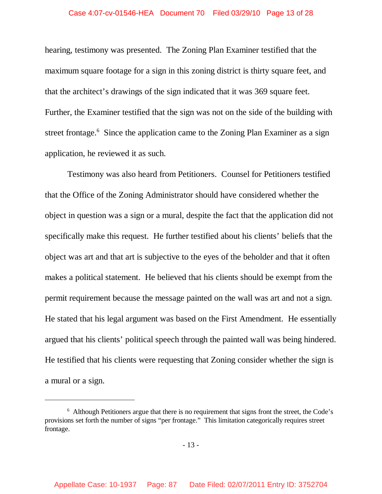### Case 4:07-cv-01546-HEA Document 70 Filed 03/29/10 Page 13 of 28

hearing, testimony was presented. The Zoning Plan Examiner testified that the maximum square footage for a sign in this zoning district is thirty square feet, and that the architect's drawings of the sign indicated that it was 369 square feet. Further, the Examiner testified that the sign was not on the side of the building with street frontage.<sup>6</sup> Since the application came to the Zoning Plan Examiner as a sign application, he reviewed it as such.

Testimony was also heard from Petitioners. Counsel for Petitioners testified that the Office of the Zoning Administrator should have considered whether the object in question was a sign or a mural, despite the fact that the application did not specifically make this request. He further testified about his clients' beliefs that the object was art and that art is subjective to the eyes of the beholder and that it often makes a political statement. He believed that his clients should be exempt from the permit requirement because the message painted on the wall was art and not a sign. He stated that his legal argument was based on the First Amendment. He essentially argued that his clients' political speech through the painted wall was being hindered. He testified that his clients were requesting that Zoning consider whether the sign is a mural or a sign.

<sup>&</sup>lt;sup>6</sup> Although Petitioners argue that there is no requirement that signs front the street, the Code's provisions set forth the number of signs "per frontage." This limitation categorically requires street frontage.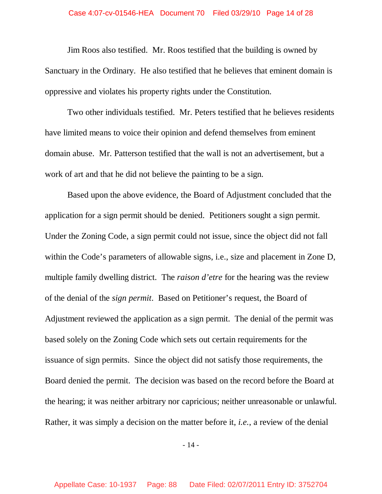#### Case 4:07-cv-01546-HEA Document 70 Filed 03/29/10 Page 14 of 28

Jim Roos also testified. Mr. Roos testified that the building is owned by Sanctuary in the Ordinary. He also testified that he believes that eminent domain is oppressive and violates his property rights under the Constitution.

Two other individuals testified. Mr. Peters testified that he believes residents have limited means to voice their opinion and defend themselves from eminent domain abuse. Mr. Patterson testified that the wall is not an advertisement, but a work of art and that he did not believe the painting to be a sign.

Based upon the above evidence, the Board of Adjustment concluded that the application for a sign permit should be denied. Petitioners sought a sign permit. Under the Zoning Code, a sign permit could not issue, since the object did not fall within the Code's parameters of allowable signs, i.e., size and placement in Zone D, multiple family dwelling district. The *raison d'etre* for the hearing was the review of the denial of the *sign permit*. Based on Petitioner's request, the Board of Adjustment reviewed the application as a sign permit. The denial of the permit was based solely on the Zoning Code which sets out certain requirements for the issuance of sign permits. Since the object did not satisfy those requirements, the Board denied the permit. The decision was based on the record before the Board at the hearing; it was neither arbitrary nor capricious; neither unreasonable or unlawful. Rather, it was simply a decision on the matter before it, *i.e.*, a review of the denial

- 14 -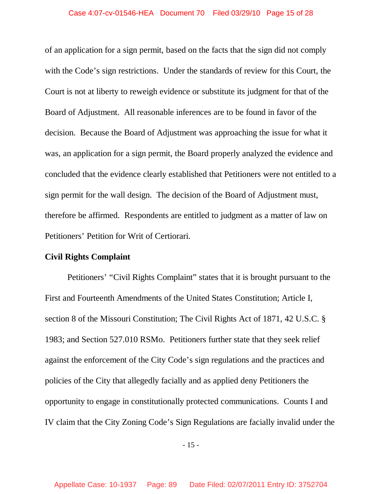### Case 4:07-cv-01546-HEA Document 70 Filed 03/29/10 Page 15 of 28

of an application for a sign permit, based on the facts that the sign did not comply with the Code's sign restrictions. Under the standards of review for this Court, the Court is not at liberty to reweigh evidence or substitute its judgment for that of the Board of Adjustment. All reasonable inferences are to be found in favor of the decision. Because the Board of Adjustment was approaching the issue for what it was, an application for a sign permit, the Board properly analyzed the evidence and concluded that the evidence clearly established that Petitioners were not entitled to a sign permit for the wall design. The decision of the Board of Adjustment must, therefore be affirmed. Respondents are entitled to judgment as a matter of law on Petitioners' Petition for Writ of Certiorari.

### **Civil Rights Complaint**

Petitioners' "Civil Rights Complaint" states that it is brought pursuant to the First and Fourteenth Amendments of the United States Constitution; Article I, section 8 of the Missouri Constitution; The Civil Rights Act of 1871, 42 U.S.C. § 1983; and Section 527.010 RSMo. Petitioners further state that they seek relief against the enforcement of the City Code's sign regulations and the practices and policies of the City that allegedly facially and as applied deny Petitioners the opportunity to engage in constitutionally protected communications. Counts I and IV claim that the City Zoning Code's Sign Regulations are facially invalid under the

- 15 -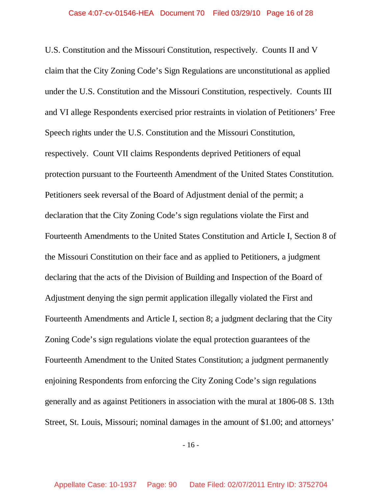U.S. Constitution and the Missouri Constitution, respectively. Counts II and V claim that the City Zoning Code's Sign Regulations are unconstitutional as applied under the U.S. Constitution and the Missouri Constitution, respectively. Counts III and VI allege Respondents exercised prior restraints in violation of Petitioners' Free Speech rights under the U.S. Constitution and the Missouri Constitution, respectively. Count VII claims Respondents deprived Petitioners of equal protection pursuant to the Fourteenth Amendment of the United States Constitution. Petitioners seek reversal of the Board of Adjustment denial of the permit; a declaration that the City Zoning Code's sign regulations violate the First and Fourteenth Amendments to the United States Constitution and Article I, Section 8 of the Missouri Constitution on their face and as applied to Petitioners, a judgment declaring that the acts of the Division of Building and Inspection of the Board of Adjustment denying the sign permit application illegally violated the First and Fourteenth Amendments and Article I, section 8; a judgment declaring that the City Zoning Code's sign regulations violate the equal protection guarantees of the Fourteenth Amendment to the United States Constitution; a judgment permanently enjoining Respondents from enforcing the City Zoning Code's sign regulations generally and as against Petitioners in association with the mural at 1806-08 S. 13th Street, St. Louis, Missouri; nominal damages in the amount of \$1.00; and attorneys'

- 16 -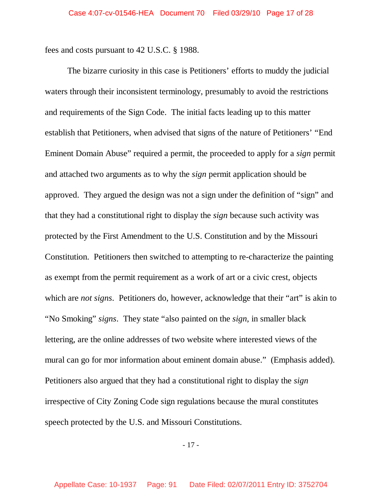fees and costs pursuant to 42 U.S.C. § 1988.

The bizarre curiosity in this case is Petitioners' efforts to muddy the judicial waters through their inconsistent terminology, presumably to avoid the restrictions and requirements of the Sign Code. The initial facts leading up to this matter establish that Petitioners, when advised that signs of the nature of Petitioners' "End Eminent Domain Abuse" required a permit, the proceeded to apply for a *sign* permit and attached two arguments as to why the *sign* permit application should be approved. They argued the design was not a sign under the definition of "sign" and that they had a constitutional right to display the *sign* because such activity was protected by the First Amendment to the U.S. Constitution and by the Missouri Constitution. Petitioners then switched to attempting to re-characterize the painting as exempt from the permit requirement as a work of art or a civic crest, objects which are *not signs*. Petitioners do, however, acknowledge that their "art" is akin to "No Smoking" *signs*. They state "also painted on the *sign*, in smaller black lettering, are the online addresses of two website where interested views of the mural can go for mor information about eminent domain abuse." (Emphasis added). Petitioners also argued that they had a constitutional right to display the *sign* irrespective of City Zoning Code sign regulations because the mural constitutes speech protected by the U.S. and Missouri Constitutions.

- 17 -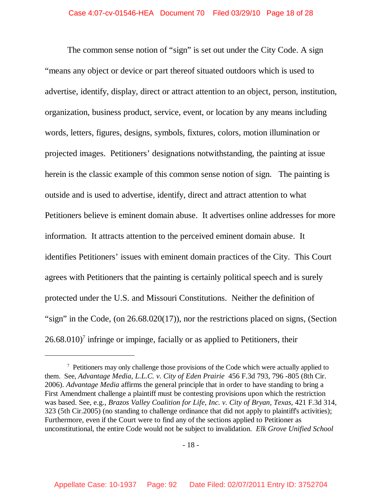The common sense notion of "sign" is set out under the City Code. A sign "means any object or device or part thereof situated outdoors which is used to advertise, identify, display, direct or attract attention to an object, person, institution, organization, business product, service, event, or location by any means including words, letters, figures, designs, symbols, fixtures, colors, motion illumination or projected images. Petitioners' designations notwithstanding, the painting at issue herein is the classic example of this common sense notion of sign. The painting is outside and is used to advertise, identify, direct and attract attention to what Petitioners believe is eminent domain abuse. It advertises online addresses for more information. It attracts attention to the perceived eminent domain abuse. It identifies Petitioners' issues with eminent domain practices of the City. This Court agrees with Petitioners that the painting is certainly political speech and is surely protected under the U.S. and Missouri Constitutions. Neither the definition of "sign" in the Code, (on 26.68.020(17)), nor the restrictions placed on signs, (Section  $26.68.010$ <sup>7</sup> infringe or impinge, facially or as applied to Petitioners, their

 $7$  Petitioners may only challenge those provisions of the Code which were actually applied to them. See, *Advantage Media, L.L.C. v. City of Eden Prairie* 456 F.3d 793, 796 -805 (8th Cir. 2006). *Advantage Media* affirms the general principle that in order to have standing to bring a First Amendment challenge a plaintiff must be contesting provisions upon which the restriction was based. See, e.g., *Brazos Valley Coalition for Life, Inc. v. City of Bryan, Texas*, 421 F.3d 314, 323 (5th Cir.2005) (no standing to challenge ordinance that did not apply to plaintiff's activities); Furthermore, even if the Court were to find any of the sections applied to Petitioner as unconstitutional, the entire Code would not be subject to invalidation. *Elk Grove Unified School*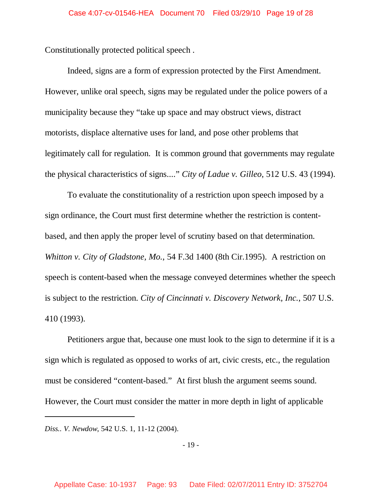Constitutionally protected political speech .

Indeed, signs are a form of expression protected by the First Amendment. However, unlike oral speech, signs may be regulated under the police powers of a municipality because they "take up space and may obstruct views, distract motorists, displace alternative uses for land, and pose other problems that legitimately call for regulation. It is common ground that governments may regulate the physical characteristics of signs...." *City of Ladue v. Gilleo*, 512 U.S. 43 (1994).

To evaluate the constitutionality of a restriction upon speech imposed by a sign ordinance, the Court must first determine whether the restriction is contentbased, and then apply the proper level of scrutiny based on that determination. *Whitton v. City of Gladstone, Mo.*, 54 F.3d 1400 (8th Cir.1995). A restriction on speech is content-based when the message conveyed determines whether the speech is subject to the restriction. *City of Cincinnati v. Discovery Network, Inc.*, 507 U.S. 410 (1993).

Petitioners argue that, because one must look to the sign to determine if it is a sign which is regulated as opposed to works of art, civic crests, etc., the regulation must be considered "content-based." At first blush the argument seems sound. However, the Court must consider the matter in more depth in light of applicable

*Diss.. V. Newdow*, 542 U.S. 1, 11-12 (2004).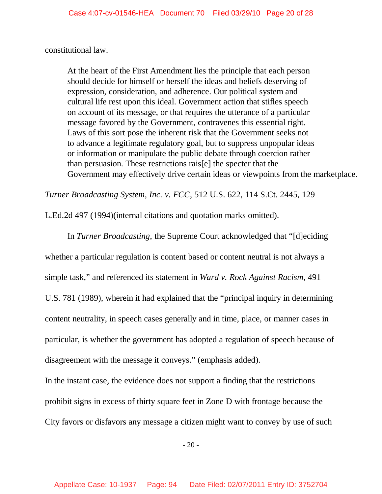constitutional law.

At the heart of the First Amendment lies the principle that each person should decide for himself or herself the ideas and beliefs deserving of expression, consideration, and adherence. Our political system and cultural life rest upon this ideal. Government action that stifles speech on account of its message, or that requires the utterance of a particular message favored by the Government, contravenes this essential right. Laws of this sort pose the inherent risk that the Government seeks not to advance a legitimate regulatory goal, but to suppress unpopular ideas or information or manipulate the public debate through coercion rather than persuasion. These restrictions rais[e] the specter that the Government may effectively drive certain ideas or viewpoints from the marketplace.

*Turner Broadcasting System, Inc. v. FCC*, 512 U.S. 622, 114 S.Ct. 2445, 129

L.Ed.2d 497 (1994)(internal citations and quotation marks omitted).

In *Turner Broadcasting*, the Supreme Court acknowledged that "[d]eciding whether a particular regulation is content based or content neutral is not always a simple task," and referenced its statement in *Ward v. Rock Against Racism*, 491 U.S. 781 (1989), wherein it had explained that the "principal inquiry in determining content neutrality, in speech cases generally and in time, place, or manner cases in particular, is whether the government has adopted a regulation of speech because of disagreement with the message it conveys." (emphasis added).

In the instant case, the evidence does not support a finding that the restrictions prohibit signs in excess of thirty square feet in Zone D with frontage because the City favors or disfavors any message a citizen might want to convey by use of such

 $-20-$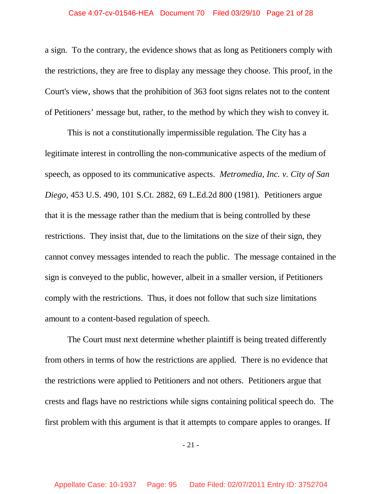a sign. To the contrary, the evidence shows that as long as Petitioners comply with the restrictions, they are free to display any message they choose. This proof, in the Court's view, shows that the prohibition of 363 foot signs relates not to the content of Petitioners' message but, rather, to the method by which they wish to convey it.

This is not a constitutionally impermissible regulation. The City has a legitimate interest in controlling the non-communicative aspects of the medium of speech, as opposed to its communicative aspects. *Metromedia, Inc. v. City of San Diego*, 453 U.S. 490, 101 S.Ct. 2882, 69 L.Ed.2d 800 (1981). Petitioners argue that it is the message rather than the medium that is being controlled by these restrictions. They insist that, due to the limitations on the size of their sign, they cannot convey messages intended to reach the public. The message contained in the sign is conveyed to the public, however, albeit in a smaller version, if Petitioners comply with the restrictions. Thus, it does not follow that such size limitations amount to a content-based regulation of speech.

The Court must next determine whether plaintiff is being treated differently from others in terms of how the restrictions are applied. There is no evidence that the restrictions were applied to Petitioners and not others. Petitioners argue that crests and flags have no restrictions while signs containing political speech do. The first problem with this argument is that it attempts to compare apples to oranges. If

- 21 -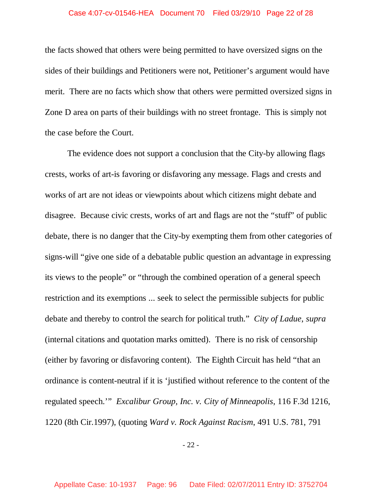### Case 4:07-cv-01546-HEA Document 70 Filed 03/29/10 Page 22 of 28

the facts showed that others were being permitted to have oversized signs on the sides of their buildings and Petitioners were not, Petitioner's argument would have merit. There are no facts which show that others were permitted oversized signs in Zone D area on parts of their buildings with no street frontage. This is simply not the case before the Court.

The evidence does not support a conclusion that the City-by allowing flags crests, works of art-is favoring or disfavoring any message. Flags and crests and works of art are not ideas or viewpoints about which citizens might debate and disagree. Because civic crests, works of art and flags are not the "stuff" of public debate, there is no danger that the City-by exempting them from other categories of signs-will "give one side of a debatable public question an advantage in expressing its views to the people" or "through the combined operation of a general speech restriction and its exemptions ... seek to select the permissible subjects for public debate and thereby to control the search for political truth." *City of Ladue*, *supra* (internal citations and quotation marks omitted). There is no risk of censorship (either by favoring or disfavoring content). The Eighth Circuit has held "that an ordinance is content-neutral if it is 'justified without reference to the content of the regulated speech.'" *Excalibur Group, Inc. v. City of Minneapolis*, 116 F.3d 1216, 1220 (8th Cir.1997), (quoting *Ward v. Rock Against Racism*, 491 U.S. 781, 791

- 22 -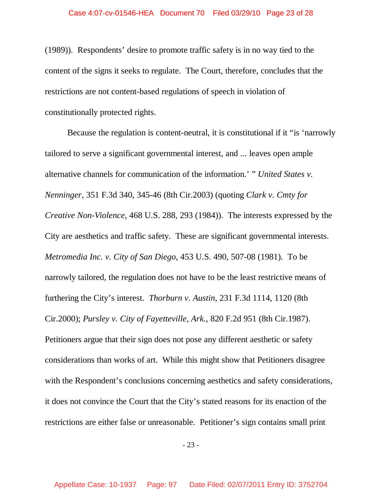(1989)). Respondents' desire to promote traffic safety is in no way tied to the content of the signs it seeks to regulate. The Court, therefore, concludes that the restrictions are not content-based regulations of speech in violation of constitutionally protected rights.

Because the regulation is content-neutral, it is constitutional if it "is 'narrowly tailored to serve a significant governmental interest, and ... leaves open ample alternative channels for communication of the information.' " *United States v. Nenninger*, 351 F.3d 340, 345-46 (8th Cir.2003) (quoting *Clark v. Cmty for Creative Non-Violence*, 468 U.S. 288, 293 (1984)). The interests expressed by the City are aesthetics and traffic safety. These are significant governmental interests. *Metromedia Inc. v. City of San Diego*, 453 U.S. 490, 507-08 (1981). To be narrowly tailored, the regulation does not have to be the least restrictive means of furthering the City's interest. *Thorburn v. Austin*, 231 F.3d 1114, 1120 (8th Cir.2000); *Pursley v. City of Fayetteville, Ark.*, 820 F.2d 951 (8th Cir.1987). Petitioners argue that their sign does not pose any different aesthetic or safety considerations than works of art. While this might show that Petitioners disagree with the Respondent's conclusions concerning aesthetics and safety considerations, it does not convince the Court that the City's stated reasons for its enaction of the restrictions are either false or unreasonable. Petitioner's sign contains small print

- 23 -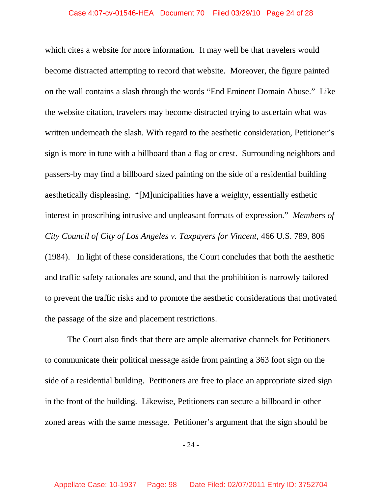which cites a website for more information. It may well be that travelers would become distracted attempting to record that website. Moreover, the figure painted on the wall contains a slash through the words "End Eminent Domain Abuse." Like the website citation, travelers may become distracted trying to ascertain what was written underneath the slash. With regard to the aesthetic consideration, Petitioner's sign is more in tune with a billboard than a flag or crest. Surrounding neighbors and passers-by may find a billboard sized painting on the side of a residential building aesthetically displeasing. "[M]unicipalities have a weighty, essentially esthetic interest in proscribing intrusive and unpleasant formats of expression." *Members of City Council of City of Los Angeles v. Taxpayers for Vincent*, 466 U.S. 789, 806 (1984). In light of these considerations, the Court concludes that both the aesthetic and traffic safety rationales are sound, and that the prohibition is narrowly tailored to prevent the traffic risks and to promote the aesthetic considerations that motivated the passage of the size and placement restrictions.

The Court also finds that there are ample alternative channels for Petitioners to communicate their political message aside from painting a 363 foot sign on the side of a residential building. Petitioners are free to place an appropriate sized sign in the front of the building. Likewise, Petitioners can secure a billboard in other zoned areas with the same message. Petitioner's argument that the sign should be

- 24 -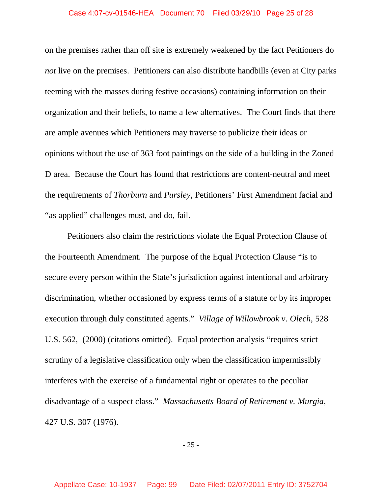### Case 4:07-cv-01546-HEA Document 70 Filed 03/29/10 Page 25 of 28

on the premises rather than off site is extremely weakened by the fact Petitioners do *not* live on the premises. Petitioners can also distribute handbills (even at City parks teeming with the masses during festive occasions) containing information on their organization and their beliefs, to name a few alternatives. The Court finds that there are ample avenues which Petitioners may traverse to publicize their ideas or opinions without the use of 363 foot paintings on the side of a building in the Zoned D area. Because the Court has found that restrictions are content-neutral and meet the requirements of *Thorburn* and *Pursley*, Petitioners' First Amendment facial and "as applied" challenges must, and do, fail.

Petitioners also claim the restrictions violate the Equal Protection Clause of the Fourteenth Amendment. The purpose of the Equal Protection Clause "is to secure every person within the State's jurisdiction against intentional and arbitrary discrimination, whether occasioned by express terms of a statute or by its improper execution through duly constituted agents." *Village of Willowbrook v. Olech*, 528 U.S. 562, (2000) (citations omitted). Equal protection analysis "requires strict scrutiny of a legislative classification only when the classification impermissibly interferes with the exercise of a fundamental right or operates to the peculiar disadvantage of a suspect class." *Massachusetts Board of Retirement v. Murgia*, 427 U.S. 307 (1976).

- 25 -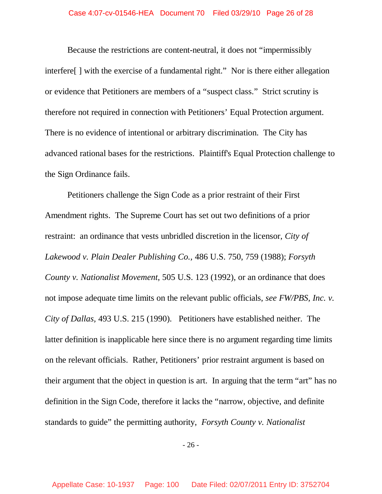Because the restrictions are content-neutral, it does not "impermissibly interfere[ ] with the exercise of a fundamental right." Nor is there either allegation or evidence that Petitioners are members of a "suspect class." Strict scrutiny is therefore not required in connection with Petitioners' Equal Protection argument. There is no evidence of intentional or arbitrary discrimination. The City has advanced rational bases for the restrictions. Plaintiff's Equal Protection challenge to the Sign Ordinance fails.

Petitioners challenge the Sign Code as a prior restraint of their First Amendment rights. The Supreme Court has set out two definitions of a prior restraint: an ordinance that vests unbridled discretion in the licensor, *City of Lakewood v. Plain Dealer Publishing Co.,* 486 U.S. 750, 759 (1988); *Forsyth County v. Nationalist Movement*, 505 U.S. 123 (1992), or an ordinance that does not impose adequate time limits on the relevant public officials, *see FW/PBS, Inc. v. City of Dallas,* 493 U.S. 215 (1990). Petitioners have established neither. The latter definition is inapplicable here since there is no argument regarding time limits on the relevant officials. Rather, Petitioners' prior restraint argument is based on their argument that the object in question is art. In arguing that the term "art" has no definition in the Sign Code, therefore it lacks the "narrow, objective, and definite standards to guide" the permitting authority, *Forsyth County v. Nationalist*

- 26 -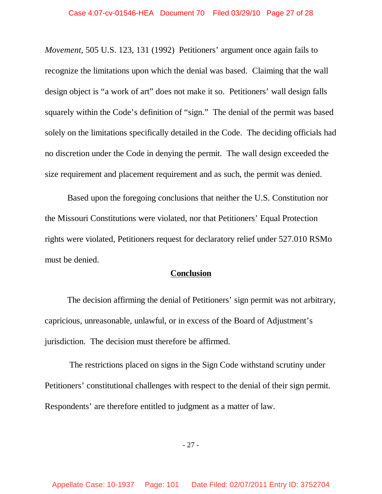*Movement*, 505 U.S. 123, 131 (1992) Petitioners' argument once again fails to recognize the limitations upon which the denial was based. Claiming that the wall design object is "a work of art" does not make it so. Petitioners' wall design falls squarely within the Code's definition of "sign." The denial of the permit was based solely on the limitations specifically detailed in the Code. The deciding officials had no discretion under the Code in denying the permit. The wall design exceeded the size requirement and placement requirement and as such, the permit was denied.

Based upon the foregoing conclusions that neither the U.S. Constitution nor the Missouri Constitutions were violated, nor that Petitioners' Equal Protection rights were violated, Petitioners request for declaratory relief under 527.010 RSMo must be denied.

## **Conclusion**

The decision affirming the denial of Petitioners' sign permit was not arbitrary, capricious, unreasonable, unlawful, or in excess of the Board of Adjustment's jurisdiction. The decision must therefore be affirmed.

The restrictions placed on signs in the Sign Code withstand scrutiny under Petitioners' constitutional challenges with respect to the denial of their sign permit. Respondents' are therefore entitled to judgment as a matter of law.

- 27 -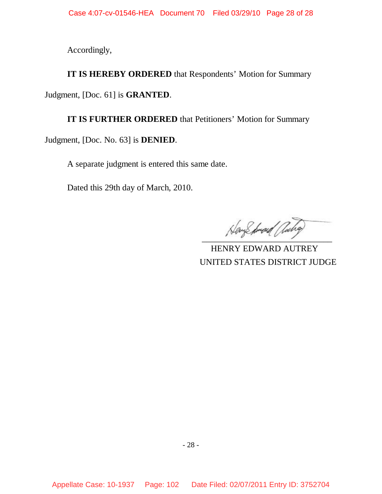Accordingly,

**IT IS HEREBY ORDERED** that Respondents' Motion for Summary Judgment, [Doc. 61] is **GRANTED**.

**IT IS FURTHER ORDERED** that Petitioners' Motion for Summary Judgment, [Doc. No. 63] is **DENIED**.

A separate judgment is entered this same date.

Dated this 29th day of March, 2010.

HayShrad acha

 HENRY EDWARD AUTREY UNITED STATES DISTRICT JUDGE